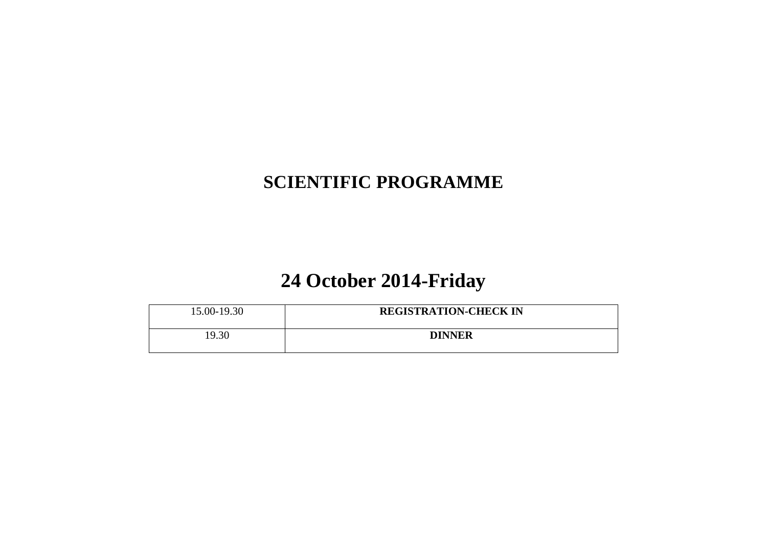### **SCIENTIFIC PROGRAMME**

### **24 October 2014-Friday**

| 15.00-19.30 | <b>REGISTRATION-CHECK IN</b> |
|-------------|------------------------------|
| 19.30       | <b>DINNER</b>                |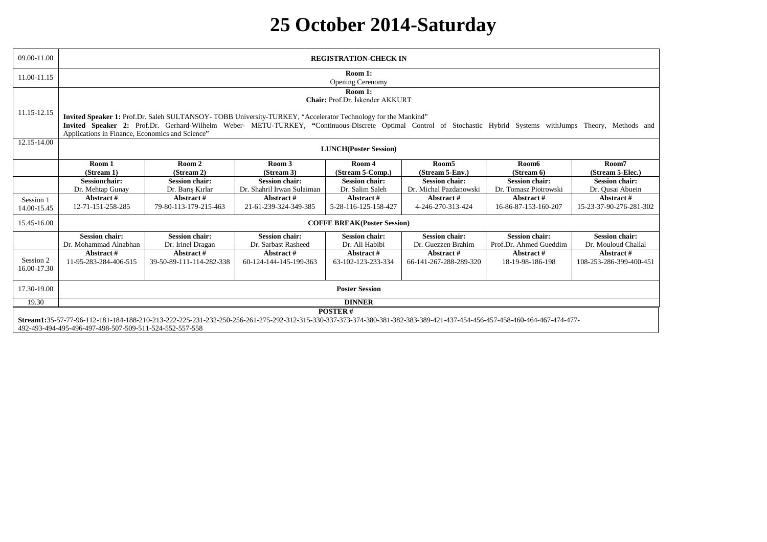# **25 October 2014-Saturday**

| 09.00-11.00              |                                                                                                                                                                                                                                     | <b>REGISTRATION-CHECK IN</b>                                                                                                                                    |                            |                                            |                        |                        |                         |
|--------------------------|-------------------------------------------------------------------------------------------------------------------------------------------------------------------------------------------------------------------------------------|-----------------------------------------------------------------------------------------------------------------------------------------------------------------|----------------------------|--------------------------------------------|------------------------|------------------------|-------------------------|
| 11.00-11.15              |                                                                                                                                                                                                                                     |                                                                                                                                                                 |                            | Room 1:<br><b>Opening Cerenomy</b>         |                        |                        |                         |
| 11.15-12.15              |                                                                                                                                                                                                                                     | Invited Speaker 1: Prof.Dr. Saleh SULTANSOY-TOBB University-TURKEY, "Accelerator Technology for the Mankind"                                                    |                            | Room 1:<br>Chair: Prof.Dr. İskender AKKURT |                        |                        |                         |
|                          | Applications in Finance, Economics and Science"                                                                                                                                                                                     | Invited Speaker 2: Prof.Dr. Gerhard-Wilhelm Weber- METU-TURKEY, "Continuous-Discrete Optimal Control of Stochastic Hybrid Systems withJumps Theory, Methods and |                            |                                            |                        |                        |                         |
| 12.15-14.00              |                                                                                                                                                                                                                                     |                                                                                                                                                                 |                            | <b>LUNCH</b> (Poster Session)              |                        |                        |                         |
|                          | Room 1                                                                                                                                                                                                                              | Room 2                                                                                                                                                          | Room 3                     | Room 4                                     | Room <sub>5</sub>      | Room6                  | Room7                   |
|                          | (Stream 1)                                                                                                                                                                                                                          | (Stream 2)                                                                                                                                                      | (Stream 3)                 | (Stream 5-Comp.)                           | (Stream 5-Env.)        | (Stream 6)             | (Stream 5-Elec.)        |
|                          | <b>Sessionchair:</b>                                                                                                                                                                                                                | <b>Session chair:</b>                                                                                                                                           | <b>Session chair:</b>      | <b>Session chair:</b>                      | <b>Session chair:</b>  | <b>Session chair:</b>  | <b>Session chair:</b>   |
|                          | Dr. Mehtap Gunay                                                                                                                                                                                                                    | Dr. Barış Kırlar                                                                                                                                                | Dr. Shahril Irwan Sulaiman | Dr. Salim Saleh                            | Dr. Michal Pazdanowski | Dr. Tomasz Piotrowski  | Dr. Qusai Abuein        |
| Session 1                | Abstract#                                                                                                                                                                                                                           | Abstract#                                                                                                                                                       | Abstract#                  | Abstract#                                  | Abstract #             | Abstract#              | Abstract#               |
| 14.00-15.45              | 12-71-151-258-285                                                                                                                                                                                                                   | 79-80-113-179-215-463                                                                                                                                           | 21-61-239-324-349-385      | 5-28-116-125-158-427                       | 4-246-270-313-424      | 16-86-87-153-160-207   | 15-23-37-90-276-281-302 |
| 15.45-16.00              |                                                                                                                                                                                                                                     |                                                                                                                                                                 |                            | <b>COFFE BREAK(Poster Session)</b>         |                        |                        |                         |
|                          | <b>Session chair:</b>                                                                                                                                                                                                               | <b>Session chair:</b>                                                                                                                                           | <b>Session chair:</b>      | <b>Session chair:</b>                      | <b>Session chair:</b>  | <b>Session chair:</b>  | <b>Session chair:</b>   |
|                          | Dr. Mohammad Alnabhan                                                                                                                                                                                                               | Dr. Irinel Dragan                                                                                                                                               | Dr. Sarbast Rasheed        | Dr. Ali Habibi                             | Dr. Guezzen Brahim     | Prof.Dr. Ahmed Gueddim | Dr. Mouloud Challal     |
|                          | Abstract#                                                                                                                                                                                                                           | Abstract#                                                                                                                                                       | Abstract#                  | Abstract#                                  | Abstract #             | Abstract#              | Abstract #              |
| Session 2<br>16.00-17.30 | 11-95-283-284-406-515                                                                                                                                                                                                               | 39-50-89-111-114-282-338                                                                                                                                        | 60-124-144-145-199-363     | 63-102-123-233-334                         | 66-141-267-288-289-320 | 18-19-98-186-198       | 108-253-286-399-400-451 |
| 17.30-19.00              | <b>Poster Session</b>                                                                                                                                                                                                               |                                                                                                                                                                 |                            |                                            |                        |                        |                         |
| 19.30                    | <b>DINNER</b>                                                                                                                                                                                                                       |                                                                                                                                                                 |                            |                                            |                        |                        |                         |
|                          |                                                                                                                                                                                                                                     |                                                                                                                                                                 |                            | <b>POSTER#</b>                             |                        |                        |                         |
|                          | Stream1:35-57-77-96-112-181-184-188-210-213-222-225-231-232-250-256-261-275-292-312-315-330-337-373-374-380-381-382-383-389-421-437-454-456-457-458-460-464-467-474-477-<br>492-493-494-495-496-497-498-507-509-511-524-552-557-558 |                                                                                                                                                                 |                            |                                            |                        |                        |                         |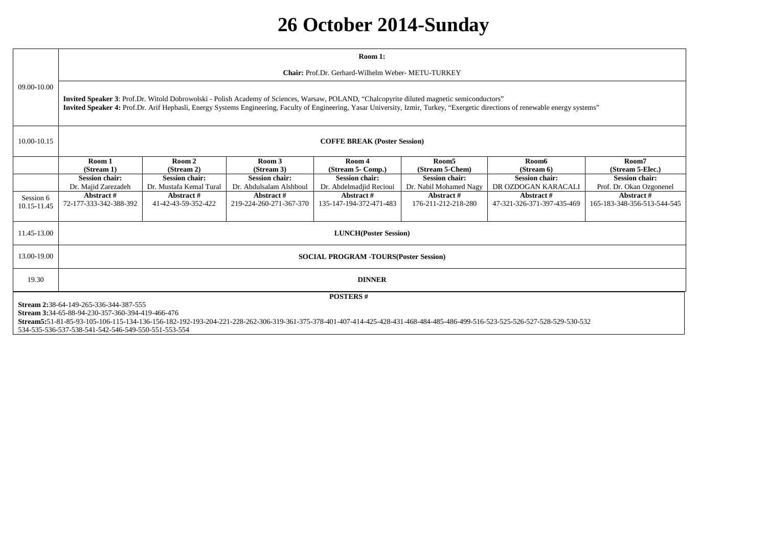# **26 October 2014-Sunday**

|                          |                                                                                                                                                                                                                                                                                                                                   |                                                    |                                                  | Room 1:                                          |                                                 |                                              |                                                   |
|--------------------------|-----------------------------------------------------------------------------------------------------------------------------------------------------------------------------------------------------------------------------------------------------------------------------------------------------------------------------------|----------------------------------------------------|--------------------------------------------------|--------------------------------------------------|-------------------------------------------------|----------------------------------------------|---------------------------------------------------|
|                          |                                                                                                                                                                                                                                                                                                                                   | Chair: Prof.Dr. Gerhard-Wilhelm Weber- METU-TURKEY |                                                  |                                                  |                                                 |                                              |                                                   |
| 09.00-10.00              |                                                                                                                                                                                                                                                                                                                                   |                                                    |                                                  |                                                  |                                                 |                                              |                                                   |
|                          | Invited Speaker 3: Prof.Dr. Witold Dobrowolski - Polish Academy of Sciences, Warsaw, POLAND, "Chalcopyrite diluted magnetic semiconductors"<br>Invited Speaker 4: Prof.Dr. Arif Hepbasli, Energy Systems Engineering, Faculty of Engineering, Yasar University, Izmir, Turkey, "Exergetic directions of renewable energy systems" |                                                    |                                                  |                                                  |                                                 |                                              |                                                   |
| 10.00-10.15              | <b>COFFE BREAK (Poster Session)</b>                                                                                                                                                                                                                                                                                               |                                                    |                                                  |                                                  |                                                 |                                              |                                                   |
|                          | Room 1<br>(Stream 1)                                                                                                                                                                                                                                                                                                              | Room 2<br>(Stream 2)                               | Room 3<br>(Stream 3)                             | Room 4<br>(Stream 5- Comp.)                      | Room <sub>5</sub><br>(Stream 5-Chem)            | Room6<br>(Stream 6)                          | Room7<br>(Stream 5-Elec.)                         |
|                          | <b>Session chair:</b><br>Dr. Majid Zarezadeh                                                                                                                                                                                                                                                                                      | <b>Session chair:</b><br>Dr. Mustafa Kemal Tural   | <b>Session chair:</b><br>Dr. Abdulsalam Alshboul | <b>Session chair:</b><br>Dr. Abdelmadjid Recioui | <b>Session chair:</b><br>Dr. Nabil Mohamed Nagy | <b>Session chair:</b><br>DR OZDOGAN KARACALI | <b>Session chair:</b><br>Prof. Dr. Okan Ozgonenel |
| Session 6<br>10.15-11.45 | Abstract#<br>72-177-333-342-388-392                                                                                                                                                                                                                                                                                               | Abstract#<br>41-42-43-59-352-422                   | Abstract#<br>219-224-260-271-367-370             | Abstract#<br>135-147-194-372-471-483             | Abstract#<br>176-211-212-218-280                | Abstract#<br>47-321-326-371-397-435-469      | Abstract#<br>165-183-348-356-513-544-545          |
| 11.45-13.00              | <b>LUNCH</b> (Poster Session)                                                                                                                                                                                                                                                                                                     |                                                    |                                                  |                                                  |                                                 |                                              |                                                   |
| 13.00-19.00              | <b>SOCIAL PROGRAM -TOURS(Poster Session)</b>                                                                                                                                                                                                                                                                                      |                                                    |                                                  |                                                  |                                                 |                                              |                                                   |
| 19.30                    | <b>DINNER</b>                                                                                                                                                                                                                                                                                                                     |                                                    |                                                  |                                                  |                                                 |                                              |                                                   |
|                          | <b>POSTERS#</b><br>Stream 2:38-64-149-265-336-344-387-555                                                                                                                                                                                                                                                                         |                                                    |                                                  |                                                  |                                                 |                                              |                                                   |
|                          | Stream 3:34-65-88-94-230-357-360-394-419-466-476                                                                                                                                                                                                                                                                                  |                                                    |                                                  |                                                  |                                                 |                                              |                                                   |
|                          | Stream5:51-81-85-93-105-106-115-134-136-156-182-192-193-204-221-228-262-306-319-361-375-378-401-407-414-425-428-431-468-484-485-486-499-516-523-525-526-527-528-529-530-532<br>534-535-536-537-538-541-542-546-549-550-551-553-554                                                                                                |                                                    |                                                  |                                                  |                                                 |                                              |                                                   |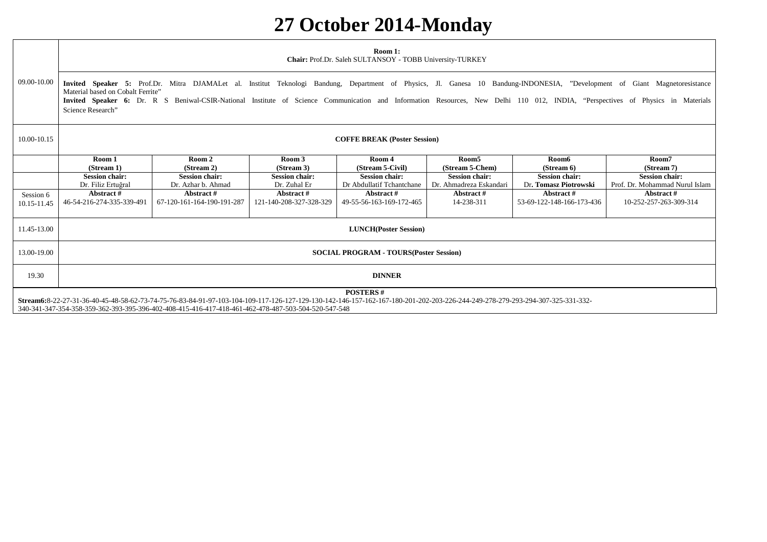# **27 October 2014-Monday**

|                                                                                                                                                                                                                                                                                                         | Room 1:<br>Chair: Prof.Dr. Saleh SULTANSOY - TOBB University-TURKEY                                                                                                                                                                                                                                                                                                                                                    |                                             |                                       |                                                    |                                                  |                                                |                                                         |
|---------------------------------------------------------------------------------------------------------------------------------------------------------------------------------------------------------------------------------------------------------------------------------------------------------|------------------------------------------------------------------------------------------------------------------------------------------------------------------------------------------------------------------------------------------------------------------------------------------------------------------------------------------------------------------------------------------------------------------------|---------------------------------------------|---------------------------------------|----------------------------------------------------|--------------------------------------------------|------------------------------------------------|---------------------------------------------------------|
| 09.00-10.00                                                                                                                                                                                                                                                                                             | Invited Speaker 5: Prof.Dr. Mitra DJAMALet al. Institut Teknologi Bandung, Department of Physics, Jl. Ganesa 10 Bandung-INDONESIA, "Development of Giant Magnetoresistance<br>Material based on Cobalt Ferrite"<br>Invited Speaker 6: Dr. R S Beniwal-CSIR-National Institute of Science Communication and Information Resources, New Delhi 110 012, INDIA, "Perspectives of Physics in Materials<br>Science Research" |                                             |                                       |                                                    |                                                  |                                                |                                                         |
| 10.00-10.15                                                                                                                                                                                                                                                                                             | <b>COFFE BREAK (Poster Session)</b>                                                                                                                                                                                                                                                                                                                                                                                    |                                             |                                       |                                                    |                                                  |                                                |                                                         |
|                                                                                                                                                                                                                                                                                                         | Room 1<br>(Stream 1)                                                                                                                                                                                                                                                                                                                                                                                                   | Room 2<br>(Stream 2)                        | Room 3<br>(Stream 3)                  | Room 4<br>(Stream 5-Civil)                         | Room <sub>5</sub><br>(Stream 5-Chem)             | Room6<br>(Stream 6)                            | Room7<br>(Stream 7)                                     |
|                                                                                                                                                                                                                                                                                                         | <b>Session chair:</b><br>Dr. Filiz Ertuğral                                                                                                                                                                                                                                                                                                                                                                            | <b>Session chair:</b><br>Dr. Azhar b. Ahmad | <b>Session chair:</b><br>Dr. Zuhal Er | <b>Session chair:</b><br>Dr Abdullatif Tchantchane | <b>Session chair:</b><br>Dr. Ahmadreza Eskandari | <b>Session chair:</b><br>Dr. Tomasz Piotrowski | <b>Session chair:</b><br>Prof. Dr. Mohammad Nurul Islam |
| Session 6<br>10.15-11.45                                                                                                                                                                                                                                                                                | Abstract #<br>46-54-216-274-335-339-491                                                                                                                                                                                                                                                                                                                                                                                | Abstract#<br>67-120-161-164-190-191-287     | Abstract #<br>121-140-208-327-328-329 | Abstract#<br>49-55-56-163-169-172-465              | Abstract#<br>14-238-311                          | Abstract#<br>53-69-122-148-166-173-436         | Abstract#<br>10-252-257-263-309-314                     |
| 11.45-13.00                                                                                                                                                                                                                                                                                             | <b>LUNCH</b> (Poster Session)                                                                                                                                                                                                                                                                                                                                                                                          |                                             |                                       |                                                    |                                                  |                                                |                                                         |
| 13.00-19.00                                                                                                                                                                                                                                                                                             | <b>SOCIAL PROGRAM - TOURS (Poster Session)</b>                                                                                                                                                                                                                                                                                                                                                                         |                                             |                                       |                                                    |                                                  |                                                |                                                         |
| 19.30                                                                                                                                                                                                                                                                                                   | <b>DINNER</b>                                                                                                                                                                                                                                                                                                                                                                                                          |                                             |                                       |                                                    |                                                  |                                                |                                                         |
| <b>POSTERS#</b><br>Stream6:8-22-27-31-36-40-45-48-58-62-73-74-75-76-83-84-91-97-103-104-109-117-126-127-129-130-142-146-157-162-167-180-201-202-203-226-244-249-278-279-293-294-307-325-331-332-<br>340-341-347-354-358-359-362-393-395-396-402-408-415-416-417-418-461-462-478-487-503-504-520-547-548 |                                                                                                                                                                                                                                                                                                                                                                                                                        |                                             |                                       |                                                    |                                                  |                                                |                                                         |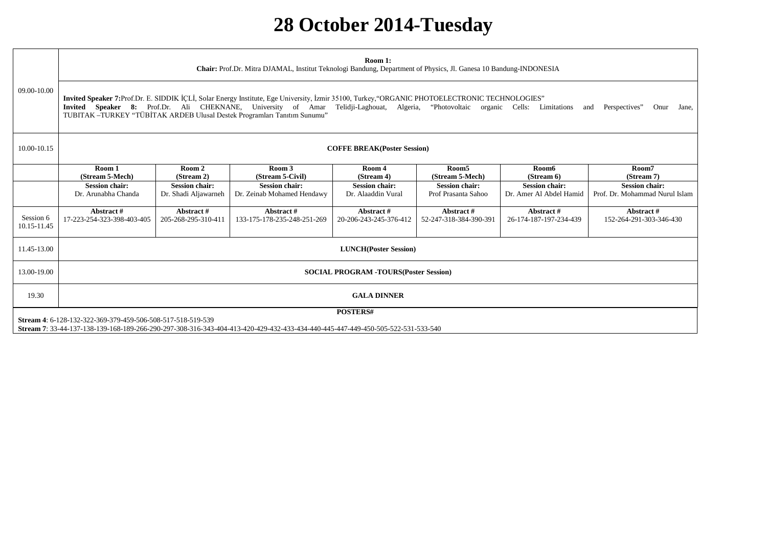### **28 October 2014-Tuesday**

|                          | Room 1:<br>Chair: Prof.Dr. Mitra DJAMAL, Institut Teknologi Bandung, Department of Physics, Jl. Ganesa 10 Bandung-INDONESIA                                                                                                                                                                                                                                                                            |                                               |                                                     |                                             |                                              |                                                  |                                                         |
|--------------------------|--------------------------------------------------------------------------------------------------------------------------------------------------------------------------------------------------------------------------------------------------------------------------------------------------------------------------------------------------------------------------------------------------------|-----------------------------------------------|-----------------------------------------------------|---------------------------------------------|----------------------------------------------|--------------------------------------------------|---------------------------------------------------------|
| 09.00-10.00              | Invited Speaker 7:Prof.Dr. E. SIDDIK İÇLİ, Solar Energy Institute, Ege University, İzmir 35100, Turkey, "ORGANIC PHOTOELECTRONIC TECHNOLOGIES"<br>Invited Speaker 8: Prof.Dr. Ali CHEKNANE, University of Amar Telidji-Laghouat, Algeria, "Photovoltaic organic Cells: Limitations<br>Perspectives"<br>Onur<br>and<br>Jane,<br>TUBITAK-TURKEY "TÜBİTAK ARDEB Ulusal Destek Programları Tanıtım Sunumu" |                                               |                                                     |                                             |                                              |                                                  |                                                         |
| 10.00-10.15              | <b>COFFE BREAK(Poster Session)</b>                                                                                                                                                                                                                                                                                                                                                                     |                                               |                                                     |                                             |                                              |                                                  |                                                         |
|                          | Room 1<br>(Stream 5-Mech)                                                                                                                                                                                                                                                                                                                                                                              | Room 2<br>(Stream 2)                          | Room 3<br>(Stream 5-Civil)                          | Room 4<br>(Stream 4)                        | Room <sub>5</sub><br>(Stream 5-Mech)         | Room6<br>(Stream 6)                              | Room7<br>(Stream 7)                                     |
|                          | <b>Session chair:</b><br>Dr. Arunabha Chanda                                                                                                                                                                                                                                                                                                                                                           | <b>Session chair:</b><br>Dr. Shadi Aljawarneh | <b>Session chair:</b><br>Dr. Zeinab Mohamed Hendawy | <b>Session chair:</b><br>Dr. Alaaddin Vural | <b>Session chair:</b><br>Prof Prasanta Sahoo | <b>Session chair:</b><br>Dr. Amer Al Abdel Hamid | <b>Session chair:</b><br>Prof. Dr. Mohammad Nurul Islam |
| Session 6<br>10.15-11.45 | Abstract #<br>17-223-254-323-398-403-405                                                                                                                                                                                                                                                                                                                                                               | Abstract#<br>205-268-295-310-411              | Abstract#<br>133-175-178-235-248-251-269            | Abstract#<br>20-206-243-245-376-412         | Abstract#<br>52-247-318-384-390-391          | Abstract#<br>26-174-187-197-234-439              | Abstract #<br>152-264-291-303-346-430                   |
| 11.45-13.00              | <b>LUNCH</b> (Poster Session)                                                                                                                                                                                                                                                                                                                                                                          |                                               |                                                     |                                             |                                              |                                                  |                                                         |
| 13.00-19.00              | <b>SOCIAL PROGRAM -TOURS(Poster Session)</b>                                                                                                                                                                                                                                                                                                                                                           |                                               |                                                     |                                             |                                              |                                                  |                                                         |
| 19.30                    | <b>GALA DINNER</b>                                                                                                                                                                                                                                                                                                                                                                                     |                                               |                                                     |                                             |                                              |                                                  |                                                         |
|                          | POSTERS#<br>Stream 4: 6-128-132-322-369-379-459-506-508-517-518-519-539                                                                                                                                                                                                                                                                                                                                |                                               |                                                     |                                             |                                              |                                                  |                                                         |

**Stream 7**: 33-44-137-138-139-168-189-266-290-297-308-316-343-404-413-420-429-432-433-434-440-445-447-449-450-505-522-531-533-540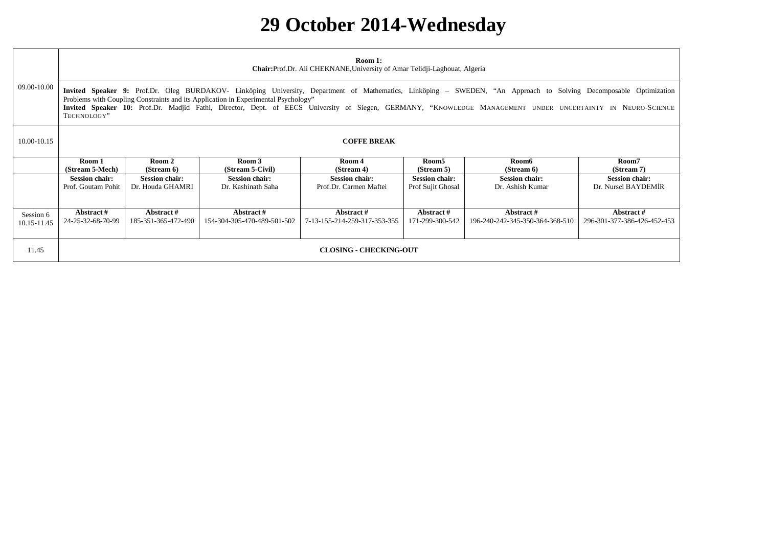# **29 October 2014-Wednesday**

|                          |                                             | Room 1:<br><b>Chair:</b> Prof.Dr. Ali CHEKNANE, University of Amar Telidji-Laghouat, Algeria                                                                                                                                                                                                                                                                                                                          |                                             |                                                 |                                            |                                               |                                              |
|--------------------------|---------------------------------------------|-----------------------------------------------------------------------------------------------------------------------------------------------------------------------------------------------------------------------------------------------------------------------------------------------------------------------------------------------------------------------------------------------------------------------|---------------------------------------------|-------------------------------------------------|--------------------------------------------|-----------------------------------------------|----------------------------------------------|
| 09.00-10.00              | TECHNOLOGY"                                 | Invited Speaker 9: Prof.Dr. Oleg BURDAKOV- Linköping University, Department of Mathematics, Linköping – SWEDEN, "An Approach to Solving Decomposable Optimization<br>Problems with Coupling Constraints and its Application in Experimental Psychology"<br>Invited Speaker 10: Prof.Dr. Madjid Fathi, Director, Dept. of EECS University of Siegen, GERMANY, "KNOWLEDGE MANAGEMENT UNDER UNCERTAINTY IN NEURO-SCIENCE |                                             |                                                 |                                            |                                               |                                              |
| 10.00-10.15              | <b>COFFE BREAK</b>                          |                                                                                                                                                                                                                                                                                                                                                                                                                       |                                             |                                                 |                                            |                                               |                                              |
|                          | Room 1<br>(Stream 5-Mech)                   | Room 2<br>(Stream 6)                                                                                                                                                                                                                                                                                                                                                                                                  | Room 3<br>(Stream 5-Civil)                  | Room 4<br>(Stream 4)                            | Room5<br>(Stream 5)                        | Room6<br>(Stream 6)                           | Room7<br>(Stream 7)                          |
|                          | <b>Session chair:</b><br>Prof. Goutam Pohit | <b>Session chair:</b><br>Dr. Houda GHAMRI                                                                                                                                                                                                                                                                                                                                                                             | <b>Session chair:</b><br>Dr. Kashinath Saha | <b>Session chair:</b><br>Prof.Dr. Carmen Maftei | <b>Session chair:</b><br>Prof Sujit Ghosal | <b>Session chair:</b><br>Dr. Ashish Kumar     | <b>Session chair:</b><br>Dr. Nursel BAYDEMİR |
| Session 6<br>10.15-11.45 | Abstract#<br>24-25-32-68-70-99              | Abstract #<br>185-351-365-472-490                                                                                                                                                                                                                                                                                                                                                                                     | Abstract#<br>154-304-305-470-489-501-502    | Abstract#<br>7-13-155-214-259-317-353-355       | Abstract#<br>171-299-300-542               | Abstract #<br>196-240-242-345-350-364-368-510 | Abstract #<br>296-301-377-386-426-452-453    |
| 11.45                    | <b>CLOSING - CHECKING-OUT</b>               |                                                                                                                                                                                                                                                                                                                                                                                                                       |                                             |                                                 |                                            |                                               |                                              |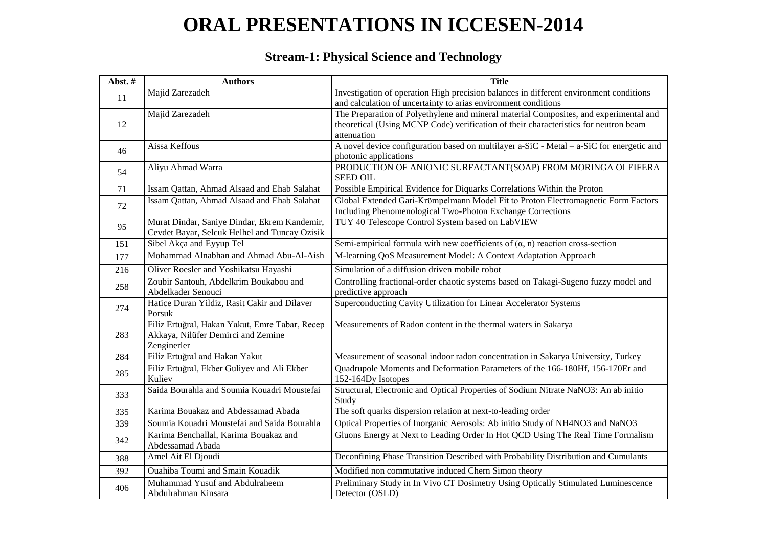# **ORAL PRESENTATIONS IN ICCESEN-2014**

#### **Stream-1: Physical Science and Technology**

| Abst.# | <b>Authors</b>                                                                                | <b>Title</b>                                                                                                      |
|--------|-----------------------------------------------------------------------------------------------|-------------------------------------------------------------------------------------------------------------------|
| 11     | Majid Zarezadeh                                                                               | Investigation of operation High precision balances in different environment conditions                            |
|        |                                                                                               | and calculation of uncertainty to arias environment conditions                                                    |
|        | Majid Zarezadeh                                                                               | The Preparation of Polyethylene and mineral material Composites, and experimental and                             |
| 12     |                                                                                               | theoretical (Using MCNP Code) verification of their characteristics for neutron beam                              |
|        |                                                                                               | attenuation                                                                                                       |
| 46     | Aissa Keffous                                                                                 | A novel device configuration based on multilayer a-SiC - Metal – a-SiC for energetic and<br>photonic applications |
| 54     | Aliyu Ahmad Warra                                                                             | PRODUCTION OF ANIONIC SURFACTANT(SOAP) FROM MORINGA OLEIFERA                                                      |
|        |                                                                                               | <b>SEED OIL</b>                                                                                                   |
| 71     | Issam Qattan, Ahmad Alsaad and Ehab Salahat                                                   | Possible Empirical Evidence for Diquarks Correlations Within the Proton                                           |
| 72     | Issam Qattan, Ahmad Alsaad and Ehab Salahat                                                   | Global Extended Gari-Krümpelmann Model Fit to Proton Electromagnetic Form Factors                                 |
|        |                                                                                               | Including Phenomenological Two-Photon Exchange Corrections                                                        |
| 95     | Murat Dindar, Saniye Dindar, Ekrem Kandemir,<br>Cevdet Bayar, Selcuk Helhel and Tuncay Ozisik | TUY 40 Telescope Control System based on LabVIEW                                                                  |
| 151    | Sibel Akça and Eyyup Tel                                                                      | Semi-empirical formula with new coefficients of $(\alpha, n)$ reaction cross-section                              |
| 177    | Mohammad Alnabhan and Ahmad Abu-Al-Aish                                                       | M-learning QoS Measurement Model: A Context Adaptation Approach                                                   |
| 216    | Oliver Roesler and Yoshikatsu Hayashi                                                         | Simulation of a diffusion driven mobile robot                                                                     |
| 258    | Zoubir Santouh, Abdelkrim Boukabou and                                                        | Controlling fractional-order chaotic systems based on Takagi-Sugeno fuzzy model and                               |
|        | Abdelkader Senouci                                                                            | predictive approach                                                                                               |
| 274    | Hatice Duran Yildiz, Rasit Cakir and Dilaver                                                  | Superconducting Cavity Utilization for Linear Accelerator Systems                                                 |
|        | Porsuk                                                                                        |                                                                                                                   |
|        | Filiz Ertuğral, Hakan Yakut, Emre Tabar, Recep                                                | Measurements of Radon content in the thermal waters in Sakarya                                                    |
| 283    | Akkaya, Nilüfer Demirci and Zemine<br>Zenginerler                                             |                                                                                                                   |
| 284    | Filiz Ertuğral and Hakan Yakut                                                                | Measurement of seasonal indoor radon concentration in Sakarya University, Turkey                                  |
|        | Filiz Ertuğral, Ekber Guliyev and Ali Ekber                                                   | Quadrupole Moments and Deformation Parameters of the 166-180Hf, 156-170Er and                                     |
| 285    | Kuliev                                                                                        | 152-164Dy Isotopes                                                                                                |
| 333    | Saida Bourahla and Soumia Kouadri Moustefai                                                   | Structural, Electronic and Optical Properties of Sodium Nitrate NaNO3: An ab initio                               |
|        |                                                                                               | Study                                                                                                             |
| 335    | Karima Bouakaz and Abdessamad Abada                                                           | The soft quarks dispersion relation at next-to-leading order                                                      |
| 339    | Soumia Kouadri Moustefai and Saida Bourahla                                                   | Optical Properties of Inorganic Aerosols: Ab initio Study of NH4NO3 and NaNO3                                     |
| 342    | Karima Benchallal, Karima Bouakaz and                                                         | Gluons Energy at Next to Leading Order In Hot QCD Using The Real Time Formalism                                   |
|        | Abdessamad Abada                                                                              |                                                                                                                   |
| 388    | Amel Ait El Djoudi                                                                            | Deconfining Phase Transition Described with Probability Distribution and Cumulants                                |
| 392    | Ouahiba Toumi and Smain Kouadik                                                               | Modified non commutative induced Chern Simon theory                                                               |
| 406    | Muhammad Yusuf and Abdulraheem                                                                | Preliminary Study in In Vivo CT Dosimetry Using Optically Stimulated Luminescence                                 |
|        | Abdulrahman Kinsara                                                                           | Detector (OSLD)                                                                                                   |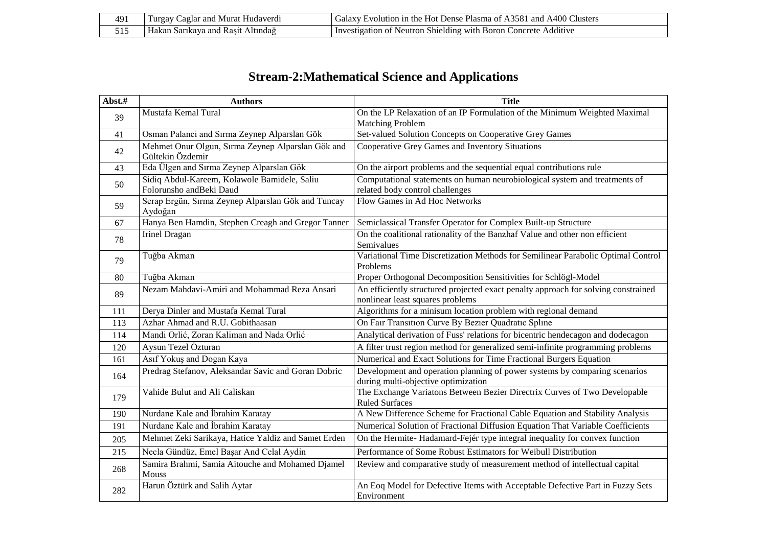| 491 | aglar and<br>urgay<br>Hudaverdı<br>Murat             | <b>Clusters</b><br>. A3581 and A400 $\cap$<br>. Hot Dense<br>- Plasma of .<br>wolution<br>-111 the<br>Galax <sup>-</sup> |
|-----|------------------------------------------------------|--------------------------------------------------------------------------------------------------------------------------|
| 515 | Altındağ<br>- Kasıt<br>. and<br>Hak<br>rikav'<br>kan | Shielding<br>:oncrete<br>Additive<br>- Boron<br>∵wnth<br>Investigation<br>Neutron                                        |

### **Stream-2:Mathematical Science and Applications**

| Abst.# | <b>Authors</b>                                                          | <b>Title</b>                                                                                                           |
|--------|-------------------------------------------------------------------------|------------------------------------------------------------------------------------------------------------------------|
| 39     | Mustafa Kemal Tural                                                     | On the LP Relaxation of an IP Formulation of the Minimum Weighted Maximal<br><b>Matching Problem</b>                   |
| 41     | Osman Palanci and Sırma Zeynep Alparslan Gök                            | Set-valued Solution Concepts on Cooperative Grey Games                                                                 |
| 42     | Mehmet Onur Olgun, Sırma Zeynep Alparslan Gök and<br>Gültekin Özdemir   | Cooperative Grey Games and Inventory Situations                                                                        |
| 43     | Eda Ülgen and Sırma Zeynep Alparslan Gök                                | On the airport problems and the sequential equal contributions rule                                                    |
| 50     | Sidiq Abdul-Kareem, Kolawole Bamidele, Saliu<br>Folorunsho andBeki Daud | Computational statements on human neurobiological system and treatments of<br>related body control challenges          |
| 59     | Serap Ergün, Sırma Zeynep Alparslan Gök and Tuncay<br>Aydoğan           | Flow Games in Ad Hoc Networks                                                                                          |
| 67     | Hanya Ben Hamdin, Stephen Creagh and Gregor Tanner                      | Semiclassical Transfer Operator for Complex Built-up Structure                                                         |
| 78     | Irinel Dragan                                                           | On the coalitional rationality of the Banzhaf Value and other non efficient<br>Semivalues                              |
| 79     | Tuğba Akman                                                             | Variational Time Discretization Methods for Semilinear Parabolic Optimal Control<br>Problems                           |
| 80     | Tuğba Akman                                                             | Proper Orthogonal Decomposition Sensitivities for Schlögl-Model                                                        |
| 89     | Nezam Mahdavi-Amiri and Mohammad Reza Ansari                            | An efficiently structured projected exact penalty approach for solving constrained<br>nonlinear least squares problems |
| 111    | Derya Dinler and Mustafa Kemal Tural                                    | Algorithms for a minisum location problem with regional demand                                                         |
| 113    | Azhar Ahmad and R.U. Gobithaasan                                        | On Fair Transition Curve By Bezier Quadratic Spline                                                                    |
| 114    | Mandi Orlić, Zoran Kaliman and Nada Orlić                               | Analytical derivation of Fuss' relations for bicentric hendecagon and dodecagon                                        |
| 120    | Aysun Tezel Özturan                                                     | A filter trust region method for generalized semi-infinite programming problems                                        |
| 161    | Asıf Yokuş and Dogan Kaya                                               | Numerical and Exact Solutions for Time Fractional Burgers Equation                                                     |
| 164    | Predrag Stefanov, Aleksandar Savic and Goran Dobric                     | Development and operation planning of power systems by comparing scenarios<br>during multi-objective optimization      |
| 179    | Vahide Bulut and Ali Caliskan                                           | The Exchange Variatons Between Bezier Directrix Curves of Two Developable<br><b>Ruled Surfaces</b>                     |
| 190    | Nurdane Kale and İbrahim Karatay                                        | A New Difference Scheme for Fractional Cable Equation and Stability Analysis                                           |
| 191    | Nurdane Kale and İbrahim Karatay                                        | Numerical Solution of Fractional Diffusion Equation That Variable Coefficients                                         |
| 205    | Mehmet Zeki Sarikaya, Hatice Yaldiz and Samet Erden                     | On the Hermite-Hadamard-Fejér type integral inequality for convex function                                             |
| 215    | Necla Gündüz, Emel Başar And Celal Aydin                                | Performance of Some Robust Estimators for Weibull Distribution                                                         |
| 268    | Samira Brahmi, Samia Aitouche and Mohamed Djamel<br>Mouss               | Review and comparative study of measurement method of intellectual capital                                             |
| 282    | Harun Öztürk and Salih Aytar                                            | An Eoq Model for Defective Items with Acceptable Defective Part in Fuzzy Sets<br>Environment                           |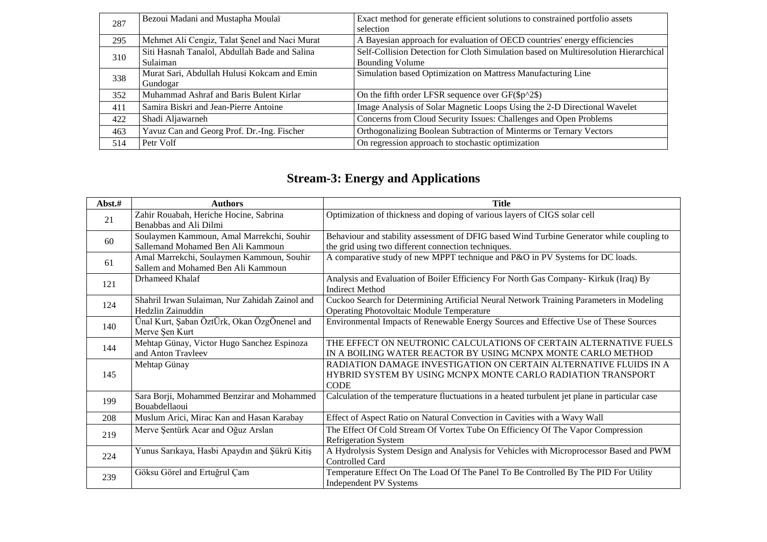| 287 | Bezoui Madani and Mustapha Moulaï             | Exact method for generate efficient solutions to constrained portfolio assets<br>selection |
|-----|-----------------------------------------------|--------------------------------------------------------------------------------------------|
| 295 | Mehmet Ali Cengiz, Talat Şenel and Naci Murat | A Bayesian approach for evaluation of OECD countries' energy efficiencies                  |
| 310 | Siti Hasnah Tanalol, Abdullah Bade and Salina | Self-Collision Detection for Cloth Simulation based on Multiresolution Hierarchical        |
|     | Sulaiman                                      | <b>Bounding Volume</b>                                                                     |
| 338 | Murat Sari, Abdullah Hulusi Kokcam and Emin   | Simulation based Optimization on Mattress Manufacturing Line                               |
|     | Gundogar                                      |                                                                                            |
| 352 | Muhammad Ashraf and Baris Bulent Kirlar       | On the fifth order LFSR sequence over $GF(\text{Sp}^2)$                                    |
| 411 | Samira Biskri and Jean-Pierre Antoine         | Image Analysis of Solar Magnetic Loops Using the 2-D Directional Wavelet                   |
| 422 | Shadi Aljawarneh                              | Concerns from Cloud Security Issues: Challenges and Open Problems                          |
| 463 | Yavuz Can and Georg Prof. Dr.-Ing. Fischer    | Orthogonalizing Boolean Subtraction of Minterms or Ternary Vectors                         |
| 514 | Petr Volf                                     | On regression approach to stochastic optimization                                          |

#### **Stream-3: Energy and Applications**

| Abst.# | <b>Authors</b>                                                                  | <b>Title</b>                                                                                                                                     |
|--------|---------------------------------------------------------------------------------|--------------------------------------------------------------------------------------------------------------------------------------------------|
| 21     | Zahir Rouabah, Heriche Hocine, Sabrina<br>Benabbas and Ali Dilmi                | Optimization of thickness and doping of various layers of CIGS solar cell                                                                        |
| 60     | Soulaymen Kammoun, Amal Marrekchi, Souhir<br>Sallemand Mohamed Ben Ali Kammoun  | Behaviour and stability assessment of DFIG based Wind Turbine Generator while coupling to<br>the grid using two different connection techniques. |
| 61     | Amal Marrekchi, Soulaymen Kammoun, Souhir<br>Sallem and Mohamed Ben Ali Kammoun | A comparative study of new MPPT technique and P&O in PV Systems for DC loads.                                                                    |
| 121    | Drhameed Khalaf                                                                 | Analysis and Evaluation of Boiler Efficiency For North Gas Company- Kirkuk (Iraq) By<br><b>Indirect Method</b>                                   |
| 124    | Shahril Irwan Sulaiman, Nur Zahidah Zainol and<br>Hedzlin Zainuddin             | Cuckoo Search for Determining Artificial Neural Network Training Parameters in Modeling<br><b>Operating Photovoltaic Module Temperature</b>      |
| 140    | Ünal Kurt, Şaban ÖztÜrk, Okan ÖzgÖnenel and<br>Merve Şen Kurt                   | Environmental Impacts of Renewable Energy Sources and Effective Use of These Sources                                                             |
| 144    | Mehtap Günay, Victor Hugo Sanchez Espinoza<br>and Anton Travleev                | THE EFFECT ON NEUTRONIC CALCULATIONS OF CERTAIN ALTERNATIVE FUELS<br>IN A BOILING WATER REACTOR BY USING MCNPX MONTE CARLO METHOD                |
| 145    | Mehtap Günay                                                                    | RADIATION DAMAGE INVESTIGATION ON CERTAIN ALTERNATIVE FLUIDS IN A<br>HYBRID SYSTEM BY USING MCNPX MONTE CARLO RADIATION TRANSPORT<br><b>CODE</b> |
| 199    | Sara Borji, Mohammed Benzirar and Mohammed<br>Bouabdellaoui                     | Calculation of the temperature fluctuations in a heated turbulent jet plane in particular case                                                   |
| 208    | Muslum Arici, Mirac Kan and Hasan Karabay                                       | Effect of Aspect Ratio on Natural Convection in Cavities with a Wavy Wall                                                                        |
| 219    | Merve Şentürk Acar and Oğuz Arslan                                              | The Effect Of Cold Stream Of Vortex Tube On Efficiency Of The Vapor Compression<br><b>Refrigeration System</b>                                   |
| 224    | Yunus Sarıkaya, Hasbi Apaydın and Şükrü Kitiş                                   | A Hydrolysis System Design and Analysis for Vehicles with Microprocessor Based and PWM<br>Controlled Card                                        |
| 239    | Göksu Görel and Ertuğrul Çam                                                    | Temperature Effect On The Load Of The Panel To Be Controlled By The PID For Utility<br><b>Independent PV Systems</b>                             |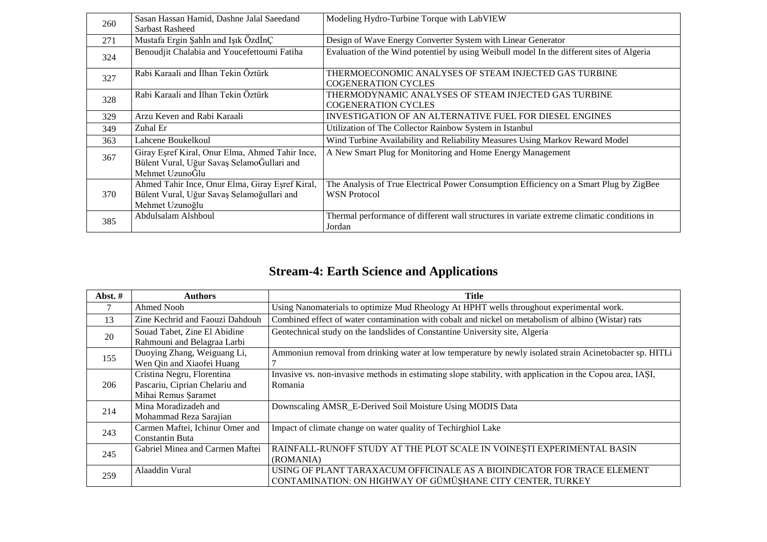| 260 | Sasan Hassan Hamid, Dashne Jalal Saeedand                                                                        | Modeling Hydro-Turbine Torque with LabVIEW                                                                    |
|-----|------------------------------------------------------------------------------------------------------------------|---------------------------------------------------------------------------------------------------------------|
|     | Sarbast Rasheed                                                                                                  |                                                                                                               |
| 271 | Mustafa Ergin Şahİn and Işık ÖzdİnÇ                                                                              | Design of Wave Energy Converter System with Linear Generator                                                  |
| 324 | Benoudjit Chalabia and Youcefettoumi Fatiha                                                                      | Evaluation of the Wind potentiel by using Weibull model In the different sites of Algeria                     |
| 327 | Rabi Karaali and İlhan Tekin Öztürk                                                                              | THERMOECONOMIC ANALYSES OF STEAM INJECTED GAS TURBINE<br><b>COGENERATION CYCLES</b>                           |
| 328 | Rabi Karaali and İlhan Tekin Öztürk                                                                              | THERMODYNAMIC ANALYSES OF STEAM INJECTED GAS TURBINE<br><b>COGENERATION CYCLES</b>                            |
| 329 | Arzu Keven and Rabi Karaali                                                                                      | <b>INVESTIGATION OF AN ALTERNATIVE FUEL FOR DIESEL ENGINES</b>                                                |
| 349 | Zuhal Er                                                                                                         | Utilization of The Collector Rainbow System in Istanbul                                                       |
| 363 | Lahcene Boukelkoul                                                                                               | Wind Turbine Availability and Reliability Measures Using Markov Reward Model                                  |
| 367 | Giray Eşref Kiral, Onur Elma, Ahmed Tahir Ince,<br>Bülent Vural, Uğur Savaş SelamoĞullari and<br>Mehmet UzunoĞlu | A New Smart Plug for Monitoring and Home Energy Management                                                    |
| 370 | Ahmed Tahir Ince, Onur Elma, Giray Eşref Kiral,<br>Bülent Vural, Uğur Savaş Selamoğullari and<br>Mehmet Uzunoğlu | The Analysis of True Electrical Power Consumption Efficiency on a Smart Plug by ZigBee<br><b>WSN</b> Protocol |
| 385 | Abdulsalam Alshboul                                                                                              | Thermal performance of different wall structures in variate extreme climatic conditions in<br>Jordan          |

### **Stream-4: Earth Science and Applications**

| Abst. $#$ | Authors                                                                             | Title                                                                                                                                 |  |
|-----------|-------------------------------------------------------------------------------------|---------------------------------------------------------------------------------------------------------------------------------------|--|
|           | Ahmed Nooh                                                                          | Using Nanomaterials to optimize Mud Rheology At HPHT wells throughout experimental work.                                              |  |
| 13        | Zine Kechrid and Faouzi Dahdouh                                                     | Combined effect of water contamination with cobalt and nickel on metabolism of albino (Wistar) rats                                   |  |
| 20        | Souad Tabet, Zine El Abidine<br>Rahmouni and Belagraa Larbi                         | Geotechnical study on the landslides of Constantine University site, Algeria                                                          |  |
| 155       | Duoying Zhang, Weiguang Li,<br>Wen Qin and Xiaofei Huang                            | Ammoniun removal from drinking water at low temperature by newly isolated strain Acinetobacter sp. HITLi                              |  |
| 206       | Cristina Negru, Florentina<br>Pascariu, Ciprian Chelariu and<br>Mihai Remus Şaramet | Invasive vs. non-invasive methods in estimating slope stability, with application in the Copou area, IASI,<br>Romania                 |  |
| 214       | Mina Moradizadeh and<br>Mohammad Reza Sarajian                                      | Downscaling AMSR_E-Derived Soil Moisture Using MODIS Data                                                                             |  |
| 243       | Carmen Maftei, Ichinur Omer and<br><b>Constantin Buta</b>                           | Impact of climate change on water quality of Techirghiol Lake                                                                         |  |
| 245       | Gabriel Minea and Carmen Maftei                                                     | RAINFALL-RUNOFF STUDY AT THE PLOT SCALE IN VOINESTI EXPERIMENTAL BASIN<br>(ROMANIA)                                                   |  |
| 259       | Alaaddin Vural                                                                      | USING OF PLANT TARAXACUM OFFICINALE AS A BIOINDICATOR FOR TRACE ELEMENT<br>CONTAMINATION: ON HIGHWAY OF GÜMÜSHANE CITY CENTER, TURKEY |  |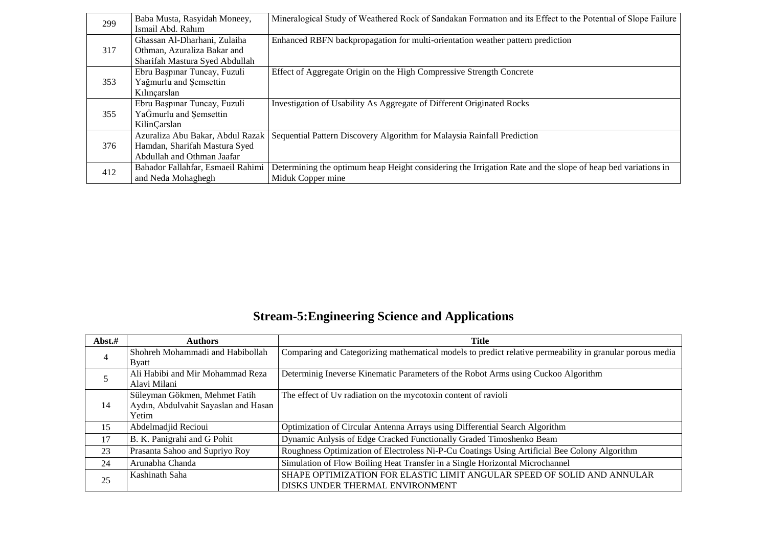| 299 | Baba Musta, Rasyidah Moneey,<br>Ismail Abd. Rahim | Mineralogical Study of Weathered Rock of Sandakan Formation and its Effect to the Potential of Slope Failure |
|-----|---------------------------------------------------|--------------------------------------------------------------------------------------------------------------|
|     | Ghassan Al-Dharhani, Zulaiha                      | Enhanced RBFN backpropagation for multi-orientation weather pattern prediction                               |
| 317 | Othman, Azuraliza Bakar and                       |                                                                                                              |
|     | Sharifah Mastura Syed Abdullah                    |                                                                                                              |
|     | Ebru Başpınar Tuncay, Fuzuli                      | Effect of Aggregate Origin on the High Compressive Strength Concrete                                         |
| 353 | Yağmurlu and Şemsettin                            |                                                                                                              |
|     | Kılınçarslan                                      |                                                                                                              |
|     | Ebru Başpınar Tuncay, Fuzuli                      | Investigation of Usability As Aggregate of Different Originated Rocks                                        |
| 355 | YaĞmurlu and Şemsettin                            |                                                                                                              |
|     | KilinÇarslan                                      |                                                                                                              |
|     | Azuraliza Abu Bakar, Abdul Razak                  | Sequential Pattern Discovery Algorithm for Malaysia Rainfall Prediction                                      |
| 376 | Hamdan, Sharifah Mastura Syed                     |                                                                                                              |
|     | Abdullah and Othman Jaafar                        |                                                                                                              |
| 412 | Bahador Fallahfar, Esmaeil Rahimi                 | Determining the optimum heap Height considering the Irrigation Rate and the slope of heap bed variations in  |
|     | and Neda Mohaghegh                                | Miduk Copper mine                                                                                            |

### **Stream-5:Engineering Science and Applications**

| Abst.#         | <b>Authors</b>                       | Title                                                                                                    |  |
|----------------|--------------------------------------|----------------------------------------------------------------------------------------------------------|--|
| $\overline{4}$ | Shohreh Mohammadi and Habibollah     | Comparing and Categorizing mathematical models to predict relative permeability in granular porous media |  |
|                | <b>B</b> yatt                        |                                                                                                          |  |
|                | Ali Habibi and Mir Mohammad Reza     | Determinig Ineverse Kinematic Parameters of the Robot Arms using Cuckoo Algorithm                        |  |
|                | Alavi Milani                         |                                                                                                          |  |
|                | Süleyman Gökmen, Mehmet Fatih        | The effect of Uv radiation on the mycotoxin content of ravioli                                           |  |
| 14             | Aydın, Abdulvahit Sayaslan and Hasan |                                                                                                          |  |
|                | Yetim                                |                                                                                                          |  |
| 15             | Abdelmadjid Recioui                  | Optimization of Circular Antenna Arrays using Differential Search Algorithm                              |  |
| 17             | B. K. Panigrahi and G Pohit          | Dynamic Anlysis of Edge Cracked Functionally Graded Timoshenko Beam                                      |  |
| 23             | Prasanta Sahoo and Supriyo Roy       | Roughness Optimization of Electroless Ni-P-Cu Coatings Using Artificial Bee Colony Algorithm             |  |
| 24             | Arunabha Chanda                      | Simulation of Flow Boiling Heat Transfer in a Single Horizontal Microchannel                             |  |
| 25             | Kashinath Saha                       | SHAPE OPTIMIZATION FOR ELASTIC LIMIT ANGULAR SPEED OF SOLID AND ANNULAR                                  |  |
|                |                                      | DISKS UNDER THERMAL ENVIRONMENT                                                                          |  |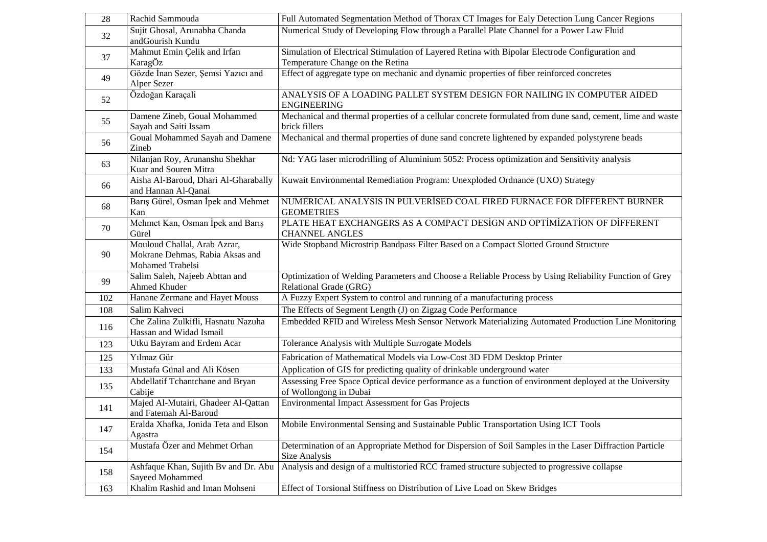| 28  | Rachid Sammouda                                                                     | Full Automated Segmentation Method of Thorax CT Images for Ealy Detection Lung Cancer Regions                                       |
|-----|-------------------------------------------------------------------------------------|-------------------------------------------------------------------------------------------------------------------------------------|
| 32  | Sujit Ghosal, Arunabha Chanda<br>andGourish Kundu                                   | Numerical Study of Developing Flow through a Parallel Plate Channel for a Power Law Fluid                                           |
| 37  | Mahmut Emin Çelik and Irfan<br>KaragÖz                                              | Simulation of Electrical Stimulation of Layered Retina with Bipolar Electrode Configuration and<br>Temperature Change on the Retina |
| 49  | Gözde İnan Sezer, Şemsi Yazıcı and<br>Alper Sezer                                   | Effect of aggregate type on mechanic and dynamic properties of fiber reinforced concretes                                           |
| 52  | Özdoğan Karaçalı                                                                    | ANALYSIS OF A LOADING PALLET SYSTEM DESIGN FOR NAILING IN COMPUTER AIDED<br><b>ENGINEERING</b>                                      |
| 55  | Damene Zineb, Goual Mohammed<br>Sayah and Saiti Issam                               | Mechanical and thermal properties of a cellular concrete formulated from dune sand, cement, lime and waste<br>brick fillers         |
| 56  | Goual Mohammed Sayah and Damene<br>Zineb                                            | Mechanical and thermal properties of dune sand concrete lightened by expanded polystyrene beads                                     |
| 63  | Nilanjan Roy, Arunanshu Shekhar<br>Kuar and Souren Mitra                            | Nd: YAG laser microdrilling of Aluminium 5052: Process optimization and Sensitivity analysis                                        |
| 66  | Aisha Al-Baroud, Dhari Al-Gharabally<br>and Hannan Al-Qanai                         | Kuwait Environmental Remediation Program: Unexploded Ordnance (UXO) Strategy                                                        |
| 68  | Barış Gürel, Osman İpek and Mehmet<br>Kan                                           | NUMERICAL ANALYSIS IN PULVERISED COAL FIRED FURNACE FOR DIFFERENT BURNER<br><b>GEOMETRIES</b>                                       |
| 70  | Mehmet Kan, Osman İpek and Barış<br>Gürel                                           | PLATE HEAT EXCHANGERS AS A COMPACT DESIGN AND OPTIMIZATION OF DIFFERENT<br><b>CHANNEL ANGLES</b>                                    |
| 90  | Mouloud Challal, Arab Azrar,<br>Mokrane Dehmas, Rabia Aksas and<br>Mohamed Trabelsi | Wide Stopband Microstrip Bandpass Filter Based on a Compact Slotted Ground Structure                                                |
| 99  | Salim Saleh, Najeeb Abttan and<br>Ahmed Khuder                                      | Optimization of Welding Parameters and Choose a Reliable Process by Using Reliability Function of Grey<br>Relational Grade (GRG)    |
| 102 | Hanane Zermane and Hayet Mouss                                                      | A Fuzzy Expert System to control and running of a manufacturing process                                                             |
| 108 | Salim Kahveci                                                                       | The Effects of Segment Length (J) on Zigzag Code Performance                                                                        |
| 116 | Che Zalina Zulkifli, Hasnatu Nazuha<br>Hassan and Widad Ismail                      | Embedded RFID and Wireless Mesh Sensor Network Materializing Automated Production Line Monitoring                                   |
| 123 | Utku Bayram and Erdem Acar                                                          | Tolerance Analysis with Multiple Surrogate Models                                                                                   |
| 125 | Yılmaz Gür                                                                          | Fabrication of Mathematical Models via Low-Cost 3D FDM Desktop Printer                                                              |
| 133 | Mustafa Günal and Ali Kösen                                                         | Application of GIS for predicting quality of drinkable underground water                                                            |
| 135 | Abdellatif Tchantchane and Bryan<br>Cabije                                          | Assessing Free Space Optical device performance as a function of environment deployed at the University<br>of Wollongong in Dubai   |
| 141 | Majed Al-Mutairi, Ghadeer Al-Qattan<br>and Fatemah Al-Baroud                        | <b>Environmental Impact Assessment for Gas Projects</b>                                                                             |
| 147 | Eralda Xhafka, Jonida Teta and Elson<br>Agastra                                     | Mobile Environmental Sensing and Sustainable Public Transportation Using ICT Tools                                                  |
| 154 | Mustafa Özer and Mehmet Orhan                                                       | Determination of an Appropriate Method for Dispersion of Soil Samples in the Laser Diffraction Particle<br>Size Analysis            |
| 158 | Ashfaque Khan, Sujith By and Dr. Abu<br>Sayeed Mohammed                             | Analysis and design of a multistoried RCC framed structure subjected to progressive collapse                                        |
| 163 | Khalim Rashid and Iman Mohseni                                                      | Effect of Torsional Stiffness on Distribution of Live Load on Skew Bridges                                                          |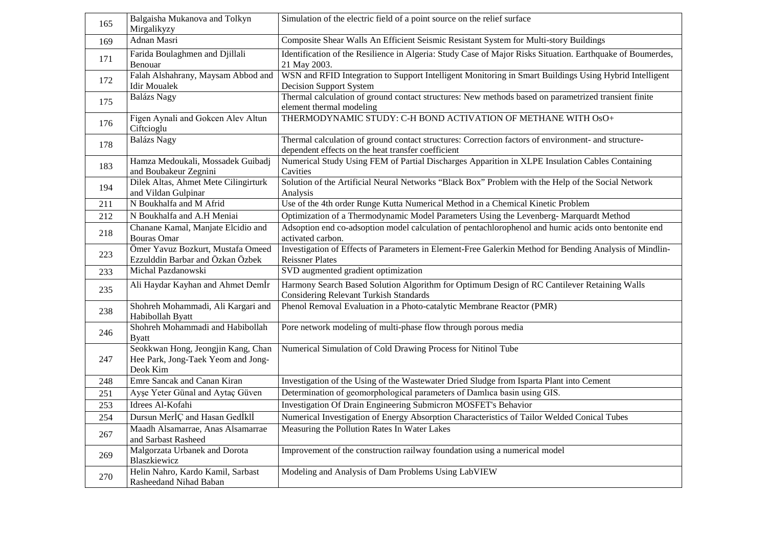| 165 | Balgaisha Mukanova and Tolkyn<br>Mirgalikyzy                                         | Simulation of the electric field of a point source on the relief surface                                                                                  |  |
|-----|--------------------------------------------------------------------------------------|-----------------------------------------------------------------------------------------------------------------------------------------------------------|--|
| 169 | Adnan Masri                                                                          | Composite Shear Walls An Efficient Seismic Resistant System for Multi-story Buildings                                                                     |  |
| 171 | Farida Boulaghmen and Djillali<br>Benouar                                            | Identification of the Resilience in Algeria: Study Case of Major Risks Situation. Earthquake of Boumerdes,<br>21 May 2003.                                |  |
| 172 | Falah Alshahrany, Maysam Abbod and<br><b>Idir Moualek</b>                            | WSN and RFID Integration to Support Intelligent Monitoring in Smart Buildings Using Hybrid Intelligent<br><b>Decision Support System</b>                  |  |
| 175 | <b>Balázs Nagy</b>                                                                   | Thermal calculation of ground contact structures: New methods based on parametrized transient finite<br>element thermal modeling                          |  |
| 176 | Figen Aynali and Gokcen Alev Altun<br>Ciftcioglu                                     | THERMODYNAMIC STUDY: C-H BOND ACTIVATION OF METHANE WITH OsO+                                                                                             |  |
| 178 | <b>Balázs Nagy</b>                                                                   | Thermal calculation of ground contact structures: Correction factors of environment- and structure-<br>dependent effects on the heat transfer coefficient |  |
| 183 | Hamza Medoukali, Mossadek Guibadj<br>and Boubakeur Zegnini                           | Numerical Study Using FEM of Partial Discharges Apparition in XLPE Insulation Cables Containing<br>Cavities                                               |  |
| 194 | Dilek Altas, Ahmet Mete Cilingirturk<br>and Vildan Gulpinar                          | Solution of the Artificial Neural Networks "Black Box" Problem with the Help of the Social Network<br>Analysis                                            |  |
| 211 | N Boukhalfa and M Afrid                                                              | Use of the 4th order Runge Kutta Numerical Method in a Chemical Kinetic Problem                                                                           |  |
| 212 | N Boukhalfa and A.H Meniai                                                           | Optimization of a Thermodynamic Model Parameters Using the Levenberg- Marquardt Method                                                                    |  |
| 218 | Chanane Kamal, Manjate Elcidio and<br><b>Bouras Omar</b>                             | Adsoption end co-adsoption model calculation of pentachlorophenol and humic acids onto bentonite end<br>activated carbon.                                 |  |
| 223 | Ömer Yavuz Bozkurt, Mustafa Omeed<br>Ezzulddin Barbar and Özkan Özbek                | Investigation of Effects of Parameters in Element-Free Galerkin Method for Bending Analysis of Mindlin-<br><b>Reissner Plates</b>                         |  |
| 233 | Michal Pazdanowski                                                                   | SVD augmented gradient optimization                                                                                                                       |  |
| 235 | Ali Haydar Kayhan and Ahmet Demİr                                                    | Harmony Search Based Solution Algorithm for Optimum Design of RC Cantilever Retaining Walls<br><b>Considering Relevant Turkish Standards</b>              |  |
| 238 | Shohreh Mohammadi, Ali Kargari and<br>Habibollah Byatt                               | Phenol Removal Evaluation in a Photo-catalytic Membrane Reactor (PMR)                                                                                     |  |
| 246 | Shohreh Mohammadi and Habibollah<br><b>Byatt</b>                                     | Pore network modeling of multi-phase flow through porous media                                                                                            |  |
| 247 | Seokkwan Hong, Jeongjin Kang, Chan<br>Hee Park, Jong-Taek Yeom and Jong-<br>Deok Kim | Numerical Simulation of Cold Drawing Process for Nitinol Tube                                                                                             |  |
| 248 | <b>Emre Sancak and Canan Kiran</b>                                                   | Investigation of the Using of the Wastewater Dried Sludge from Isparta Plant into Cement                                                                  |  |
| 251 | Ayşe Yeter Günal and Aytaç Güven                                                     | Determination of geomorphological parameters of Damlıca basin using GIS.                                                                                  |  |
| 253 | Idrees Al-Kofahi                                                                     | Investigation Of Drain Engineering Submicron MOSFET's Behavior                                                                                            |  |
| 254 | Dursun MerİÇ and Hasan Gedİklİ                                                       | Numerical Investigation of Energy Absorption Characteristics of Tailor Welded Conical Tubes                                                               |  |
| 267 | Maadh Alsamarrae, Anas Alsamarrae<br>and Sarbast Rasheed                             | Measuring the Pollution Rates In Water Lakes                                                                                                              |  |
| 269 | Malgorzata Urbanek and Dorota<br>Blaszkiewicz                                        | Improvement of the construction railway foundation using a numerical model                                                                                |  |
| 270 | Helin Nahro, Kardo Kamil, Sarbast<br>Rasheedand Nihad Baban                          | Modeling and Analysis of Dam Problems Using LabVIEW                                                                                                       |  |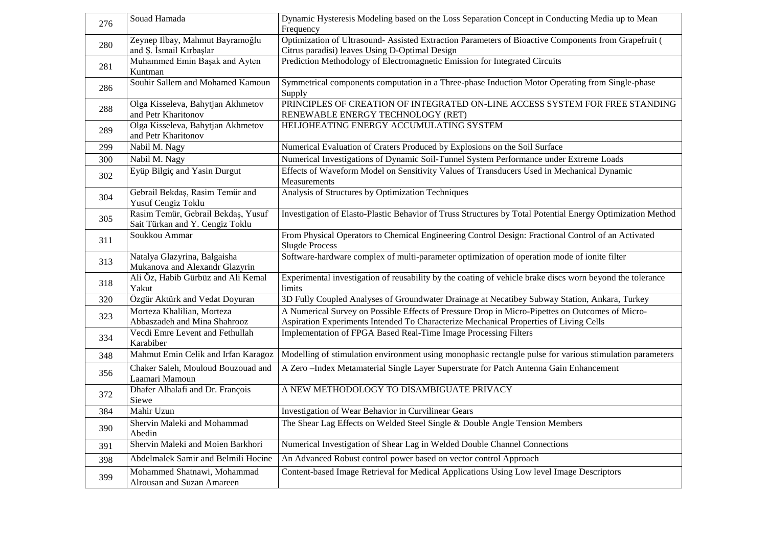| 276 | Souad Hamada                                                          | Dynamic Hysteresis Modeling based on the Loss Separation Concept in Conducting Media up to Mean<br>Frequency                                                                             |  |
|-----|-----------------------------------------------------------------------|------------------------------------------------------------------------------------------------------------------------------------------------------------------------------------------|--|
| 280 | Zeynep Ilbay, Mahmut Bayramoğlu<br>and S. İsmail Kırbaşlar            | Optimization of Ultrasound- Assisted Extraction Parameters of Bioactive Components from Grapefruit (<br>Citrus paradisi) leaves Using D-Optimal Design                                   |  |
| 281 | Muhammed Emin Başak and Ayten<br>Kuntman                              | Prediction Methodology of Electromagnetic Emission for Integrated Circuits                                                                                                               |  |
| 286 | Souhir Sallem and Mohamed Kamoun                                      | Symmetrical components computation in a Three-phase Induction Motor Operating from Single-phase<br>Supply                                                                                |  |
| 288 | Olga Kisseleva, Bahytjan Akhmetov<br>and Petr Kharitonov              | PRINCIPLES OF CREATION OF INTEGRATED ON-LINE ACCESS SYSTEM FOR FREE STANDING<br>RENEWABLE ENERGY TECHNOLOGY (RET)                                                                        |  |
| 289 | Olga Kisseleva, Bahytjan Akhmetov<br>and Petr Kharitonov              | HELIOHEATING ENERGY ACCUMULATING SYSTEM                                                                                                                                                  |  |
| 299 | Nabil M. Nagy                                                         | Numerical Evaluation of Craters Produced by Explosions on the Soil Surface                                                                                                               |  |
| 300 | Nabil M. Nagy                                                         | Numerical Investigations of Dynamic Soil-Tunnel System Performance under Extreme Loads                                                                                                   |  |
| 302 | Eyüp Bilgiç and Yasin Durgut                                          | Effects of Waveform Model on Sensitivity Values of Transducers Used in Mechanical Dynamic<br>Measurements                                                                                |  |
| 304 | Gebrail Bekdaş, Rasim Temür and<br>Yusuf Cengiz Toklu                 | Analysis of Structures by Optimization Techniques                                                                                                                                        |  |
| 305 | Rasim Temür, Gebrail Bekdaş, Yusuf<br>Sait Türkan and Y. Cengiz Toklu | Investigation of Elasto-Plastic Behavior of Truss Structures by Total Potential Energy Optimization Method                                                                               |  |
| 311 | Soukkou Ammar                                                         | From Physical Operators to Chemical Engineering Control Design: Fractional Control of an Activated<br><b>Slugde Process</b>                                                              |  |
| 313 | Natalya Glazyrina, Balgaisha<br>Mukanova and Alexandr Glazyrin        | Software-hardware complex of multi-parameter optimization of operation mode of ionite filter                                                                                             |  |
| 318 | Ali Öz, Habib Gürbüz and Ali Kemal<br>Yakut                           | Experimental investigation of reusability by the coating of vehicle brake discs worn beyond the tolerance<br>limits                                                                      |  |
| 320 | Özgür Aktürk and Vedat Doyuran                                        | 3D Fully Coupled Analyses of Groundwater Drainage at Necatibey Subway Station, Ankara, Turkey                                                                                            |  |
| 323 | Morteza Khalilian, Morteza<br>Abbaszadeh and Mina Shahrooz            | A Numerical Survey on Possible Effects of Pressure Drop in Micro-Pipettes on Outcomes of Micro-<br>Aspiration Experiments Intended To Characterize Mechanical Properties of Living Cells |  |
| 334 | Vecdi Emre Levent and Fethullah<br>Karabiber                          | Implementation of FPGA Based Real-Time Image Processing Filters                                                                                                                          |  |
| 348 | Mahmut Emin Celik and Irfan Karagoz                                   | Modelling of stimulation environment using monophasic rectangle pulse for various stimulation parameters                                                                                 |  |
| 356 | Chaker Saleh, Mouloud Bouzouad and<br>Laamari Mamoun                  | A Zero-Index Metamaterial Single Layer Superstrate for Patch Antenna Gain Enhancement                                                                                                    |  |
| 372 | Dhafer Alhalafi and Dr. François<br>Siewe                             | A NEW METHODOLOGY TO DISAMBIGUATE PRIVACY                                                                                                                                                |  |
| 384 | Mahir Uzun                                                            | Investigation of Wear Behavior in Curvilinear Gears                                                                                                                                      |  |
| 390 | Shervin Maleki and Mohammad<br>Abedin                                 | The Shear Lag Effects on Welded Steel Single & Double Angle Tension Members                                                                                                              |  |
| 391 | Shervin Maleki and Moien Barkhori                                     | Numerical Investigation of Shear Lag in Welded Double Channel Connections                                                                                                                |  |
| 398 | Abdelmalek Samir and Belmili Hocine                                   | An Advanced Robust control power based on vector control Approach                                                                                                                        |  |
| 399 | Mohammed Shatnawi, Mohammad<br>Alrousan and Suzan Amareen             | Content-based Image Retrieval for Medical Applications Using Low level Image Descriptors                                                                                                 |  |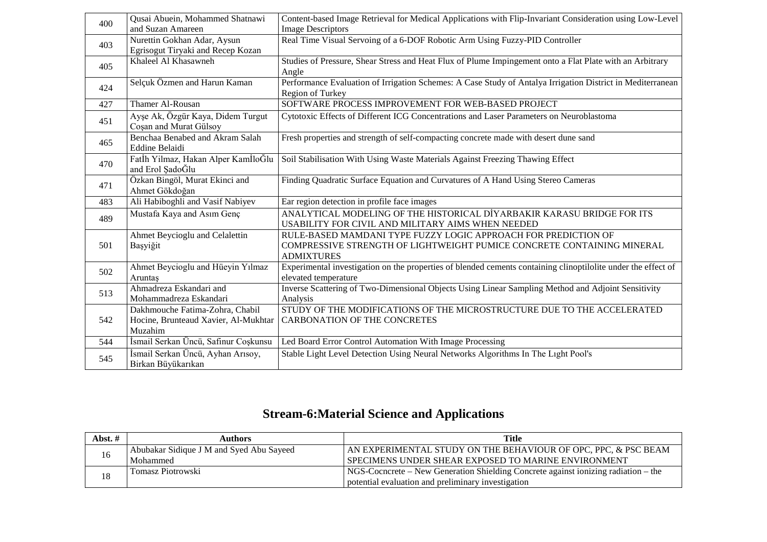| 400 | Qusai Abuein, Mohammed Shatnawi                                         | Content-based Image Retrieval for Medical Applications with Flip-Invariant Consideration using Low-Level      |
|-----|-------------------------------------------------------------------------|---------------------------------------------------------------------------------------------------------------|
|     | and Suzan Amareen                                                       | <b>Image Descriptors</b>                                                                                      |
| 403 | Nurettin Gokhan Adar, Aysun                                             | Real Time Visual Servoing of a 6-DOF Robotic Arm Using Fuzzy-PID Controller                                   |
|     | Egrisogut Tiryaki and Recep Kozan                                       |                                                                                                               |
| 405 | Khaleel Al Khasawneh                                                    | Studies of Pressure, Shear Stress and Heat Flux of Plume Impingement onto a Flat Plate with an Arbitrary      |
|     |                                                                         | Angle                                                                                                         |
| 424 | Selçuk Özmen and Harun Kaman                                            | Performance Evaluation of Irrigation Schemes: A Case Study of Antalya Irrigation District in Mediterranean    |
|     |                                                                         | Region of Turkey                                                                                              |
| 427 | Thamer Al-Rousan                                                        | SOFTWARE PROCESS IMPROVEMENT FOR WEB-BASED PROJECT                                                            |
| 451 | Ayşe Ak, Özgür Kaya, Didem Turgut                                       | Cytotoxic Effects of Different ICG Concentrations and Laser Parameters on Neuroblastoma                       |
|     | Cosan and Murat Gülsoy                                                  |                                                                                                               |
| 465 | Benchaa Benabed and Akram Salah                                         | Fresh properties and strength of self-compacting concrete made with desert dune sand                          |
|     | <b>Eddine Belaidi</b>                                                   |                                                                                                               |
| 470 | Fatİh Yilmaz, Hakan Alper KamİloĞlu                                     | Soil Stabilisation With Using Waste Materials Against Freezing Thawing Effect                                 |
|     | and Erol ŞadoĞlu                                                        |                                                                                                               |
| 471 | Özkan Bingöl, Murat Ekinci and                                          | Finding Quadratic Surface Equation and Curvatures of A Hand Using Stereo Cameras                              |
|     | Ahmet Gökdoğan                                                          |                                                                                                               |
| 483 | Ali Habiboghli and Vasif Nabiyev                                        | Ear region detection in profile face images                                                                   |
| 489 | Mustafa Kaya and Asım Genç                                              | ANALYTICAL MODELING OF THE HISTORICAL DİYARBAKIR KARASU BRIDGE FOR ITS                                        |
|     |                                                                         | USABILITY FOR CIVIL AND MILITARY AIMS WHEN NEEDED                                                             |
|     | Ahmet Beycioglu and Celalettin                                          | RULE-BASED MAMDANI TYPE FUZZY LOGIC APPROACH FOR PREDICTION OF                                                |
| 501 | Başyiğit                                                                | COMPRESSIVE STRENGTH OF LIGHTWEIGHT PUMICE CONCRETE CONTAINING MINERAL                                        |
|     |                                                                         | <b>ADMIXTURES</b>                                                                                             |
| 502 | Ahmet Beycioglu and Hüeyin Yılmaz                                       | Experimental investigation on the properties of blended cements containing clinoptilolite under the effect of |
|     | Aruntas                                                                 | elevated temperature                                                                                          |
| 513 | Ahmadreza Eskandari and                                                 | Inverse Scattering of Two-Dimensional Objects Using Linear Sampling Method and Adjoint Sensitivity            |
|     | Mohammadreza Eskandari                                                  | Analysis                                                                                                      |
|     | Dakhmouche Fatima-Zohra, Chabil<br>Hocine, Brunteaud Xavier, Al-Mukhtar | STUDY OF THE MODIFICATIONS OF THE MICROSTRUCTURE DUE TO THE ACCELERATED<br>CARBONATION OF THE CONCRETES       |
| 542 | Muzahim                                                                 |                                                                                                               |
| 544 | İsmail Serkan Üncü, Safinur Coşkunsu                                    | Led Board Error Control Automation With Image Processing                                                      |
|     |                                                                         | Stable Light Level Detection Using Neural Networks Algorithms In The Light Pool's                             |
| 545 | İsmail Serkan Üncü, Ayhan Arısoy,<br>Birkan Büyükarıkan                 |                                                                                                               |
|     |                                                                         |                                                                                                               |

### **Stream-6:Material Science and Applications**

| Abst. $#$ | Authors                                  | Title                                                                              |
|-----------|------------------------------------------|------------------------------------------------------------------------------------|
|           | Abubakar Sidique J M and Syed Abu Sayeed | AN EXPERIMENTAL STUDY ON THE BEHAVIOUR OF OPC, PPC, & PSC BEAM !!                  |
| 16        | Mohammed                                 | SPECIMENS UNDER SHEAR EXPOSED TO MARINE ENVIRONMENT                                |
| 18        | Tomasz Piotrowski                        | NGS-Coencrete – New Generation Shielding Concrete against ionizing radiation – the |
|           |                                          | potential evaluation and preliminary investigation                                 |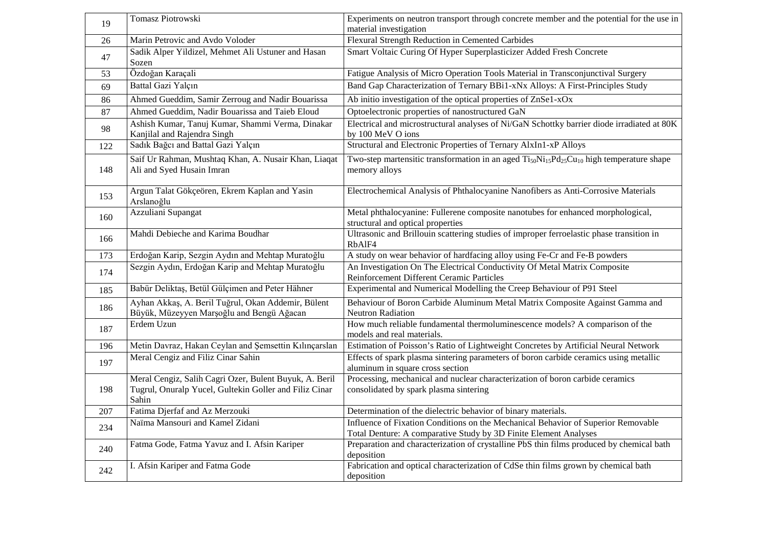| 19  | Tomasz Piotrowski                                                                                                         | Experiments on neutron transport through concrete member and the potential for the use in<br>material investigation                                   |
|-----|---------------------------------------------------------------------------------------------------------------------------|-------------------------------------------------------------------------------------------------------------------------------------------------------|
| 26  | Marin Petrovic and Avdo Voloder                                                                                           | Flexural Strength Reduction in Cemented Carbides                                                                                                      |
| 47  | Sadik Alper Yildizel, Mehmet Ali Ustuner and Hasan<br>Sozen                                                               | Smart Voltaic Curing Of Hyper Superplasticizer Added Fresh Concrete                                                                                   |
| 53  | Özdoğan Karaçalı                                                                                                          | Fatigue Analysis of Micro Operation Tools Material in Transconjunctival Surgery                                                                       |
| 69  | Battal Gazi Yalçın                                                                                                        | Band Gap Characterization of Ternary BBi1-xNx Alloys: A First-Principles Study                                                                        |
| 86  | Ahmed Gueddim, Samir Zerroug and Nadir Bouarissa                                                                          | Ab initio investigation of the optical properties of ZnSe1-xOx                                                                                        |
| 87  | Ahmed Gueddim, Nadir Bouarissa and Taieb Eloud                                                                            | Optoelectronic properties of nanostructured GaN                                                                                                       |
| 98  | Ashish Kumar, Tanuj Kumar, Shammi Verma, Dinakar<br>Kanjilal and Rajendra Singh                                           | Electrical and microstructural analyses of Ni/GaN Schottky barrier diode irradiated at 80K<br>by 100 MeV O ions                                       |
| 122 | Sadık Bağcı and Battal Gazi Yalçın                                                                                        | Structural and Electronic Properties of Ternary AlxIn1-xP Alloys                                                                                      |
| 148 | Saif Ur Rahman, Mushtaq Khan, A. Nusair Khan, Liaqat<br>Ali and Syed Husain Imran                                         | Two-step martensitic transformation in an aged $Ti50Ni15Pd25Cu10$ high temperature shape<br>memory alloys                                             |
| 153 | Argun Talat Gökçeören, Ekrem Kaplan and Yasin<br>Arslanoğlu                                                               | Electrochemical Analysis of Phthalocyanine Nanofibers as Anti-Corrosive Materials                                                                     |
| 160 | Azzuliani Supangat                                                                                                        | Metal phthalocyanine: Fullerene composite nanotubes for enhanced morphological,<br>structural and optical properties                                  |
| 166 | Mahdi Debieche and Karima Boudhar                                                                                         | Ultrasonic and Brillouin scattering studies of improper ferroelastic phase transition in<br>RbAlF4                                                    |
| 173 | Erdoğan Karip, Sezgin Aydın and Mehtap Muratoğlu                                                                          | A study on wear behavior of hardfacing alloy using Fe-Cr and Fe-B powders                                                                             |
| 174 | Sezgin Aydın, Erdoğan Karip and Mehtap Muratoğlu                                                                          | An Investigation On The Electrical Conductivity Of Metal Matrix Composite<br>Reinforcement Different Ceramic Particles                                |
| 185 | Babür Deliktaş, Betül Gülçimen and Peter Hähner                                                                           | Experimental and Numerical Modelling the Creep Behaviour of P91 Steel                                                                                 |
| 186 | Ayhan Akkaş, A. Beril Tuğrul, Okan Addemir, Bülent<br>Büyük, Müzeyyen Marşoğlu and Bengü Ağacan                           | Behaviour of Boron Carbide Aluminum Metal Matrix Composite Against Gamma and<br><b>Neutron Radiation</b>                                              |
| 187 | Erdem Uzun                                                                                                                | How much reliable fundamental thermoluminescence models? A comparison of the<br>models and real materials.                                            |
| 196 | Metin Davraz, Hakan Ceylan and Şemsettin Kılınçarslan                                                                     | Estimation of Poisson's Ratio of Lightweight Concretes by Artificial Neural Network                                                                   |
| 197 | Meral Cengiz and Filiz Cinar Sahin                                                                                        | Effects of spark plasma sintering parameters of boron carbide ceramics using metallic<br>aluminum in square cross section                             |
| 198 | Meral Cengiz, Salih Cagri Ozer, Bulent Buyuk, A. Beril<br>Tugrul, Onuralp Yucel, Gultekin Goller and Filiz Cinar<br>Sahin | Processing, mechanical and nuclear characterization of boron carbide ceramics<br>consolidated by spark plasma sintering                               |
| 207 | Fatima Djerfaf and Az Merzouki                                                                                            | Determination of the dielectric behavior of binary materials.                                                                                         |
| 234 | Naïma Mansouri and Kamel Zidani                                                                                           | Influence of Fixation Conditions on the Mechanical Behavior of Superior Removable<br>Total Denture: A comparative Study by 3D Finite Element Analyses |
| 240 | Fatma Gode, Fatma Yavuz and I. Afsin Kariper                                                                              | Preparation and characterization of crystalline PbS thin films produced by chemical bath<br>deposition                                                |
| 242 | I. Afsin Kariper and Fatma Gode                                                                                           | Fabrication and optical characterization of CdSe thin films grown by chemical bath<br>deposition                                                      |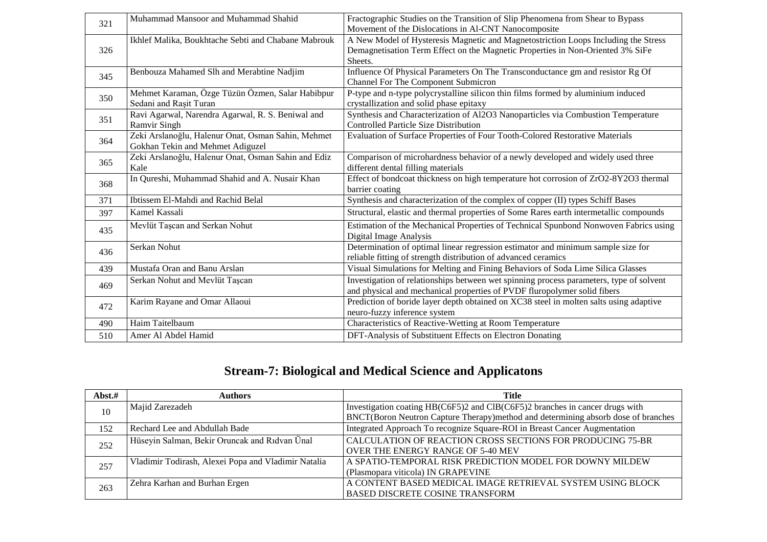| 321 | Muhammad Mansoor and Muhammad Shahid                                                   | Fractographic Studies on the Transition of Slip Phenomena from Shear to Bypass<br>Movement of the Dislocations in Al-CNT Nanocomposite                                          |
|-----|----------------------------------------------------------------------------------------|---------------------------------------------------------------------------------------------------------------------------------------------------------------------------------|
| 326 | Ikhlef Malika, Boukhtache Sebti and Chabane Mabrouk                                    | A New Model of Hysteresis Magnetic and Magnetostriction Loops Including the Stress<br>Demagnetisation Term Effect on the Magnetic Properties in Non-Oriented 3% SiFe<br>Sheets. |
| 345 | Benbouza Mahamed Slh and Merabtine Nadjim                                              | Influence Of Physical Parameters On The Transconductance gm and resistor Rg Of<br><b>Channel For The Component Submicron</b>                                                    |
| 350 | Mehmet Karaman, Özge Tüzün Özmen, Salar Habibpur<br>Sedani and Rasit Turan             | P-type and n-type polycrystalline silicon thin films formed by aluminium induced<br>crystallization and solid phase epitaxy                                                     |
| 351 | Ravi Agarwal, Narendra Agarwal, R. S. Beniwal and<br><b>Ramvir Singh</b>               | Synthesis and Characterization of Al2O3 Nanoparticles via Combustion Temperature<br><b>Controlled Particle Size Distribution</b>                                                |
| 364 | Zeki Arslanoğlu, Halenur Onat, Osman Sahin, Mehmet<br>Gokhan Tekin and Mehmet Adiguzel | Evaluation of Surface Properties of Four Tooth-Colored Restorative Materials                                                                                                    |
| 365 | Zeki Arslanoğlu, Halenur Onat, Osman Sahin and Ediz<br>Kale                            | Comparison of microhardness behavior of a newly developed and widely used three<br>different dental filling materials                                                           |
| 368 | In Qureshi, Muhammad Shahid and A. Nusair Khan                                         | Effect of bondcoat thickness on high temperature hot corrosion of ZrO2-8Y2O3 thermal<br>barrier coating                                                                         |
| 371 | Ibtissem El-Mahdi and Rachid Belal                                                     | Synthesis and characterization of the complex of copper (II) types Schiff Bases                                                                                                 |
| 397 | Kamel Kassali                                                                          | Structural, elastic and thermal properties of Some Rares earth intermetallic compounds                                                                                          |
| 435 | Mevlüt Taşcan and Serkan Nohut                                                         | Estimation of the Mechanical Properties of Technical Spunbond Nonwoven Fabrics using<br>Digital Image Analysis                                                                  |
| 436 | Serkan Nohut                                                                           | Determination of optimal linear regression estimator and minimum sample size for<br>reliable fitting of strength distribution of advanced ceramics                              |
| 439 | Mustafa Oran and Banu Arslan                                                           | Visual Simulations for Melting and Fining Behaviors of Soda Lime Silica Glasses                                                                                                 |
| 469 | Serkan Nohut and Mevlüt Taşcan                                                         | Investigation of relationships between wet spinning process parameters, type of solvent<br>and physical and mechanical properties of PVDF fluropolymer solid fibers             |
| 472 | Karim Rayane and Omar Allaoui                                                          | Prediction of boride layer depth obtained on XC38 steel in molten salts using adaptive<br>neuro-fuzzy inference system                                                          |
| 490 | Haim Taitelbaum                                                                        | Characteristics of Reactive-Wetting at Room Temperature                                                                                                                         |
| 510 | Amer Al Abdel Hamid                                                                    | DFT-Analysis of Substituent Effects on Electron Donating                                                                                                                        |

### **Stream-7: Biological and Medical Science and Applicatons**

| Abst.# | Authors                                             | <b>Title</b>                                                                      |
|--------|-----------------------------------------------------|-----------------------------------------------------------------------------------|
| 10     | Majid Zarezadeh                                     | Investigation coating HB(C6F5)2 and ClB(C6F5)2 branches in cancer drugs with      |
|        |                                                     | BNCT(Boron Neutron Capture Therapy)method and determining absorb dose of branches |
| 152    | Rechard Lee and Abdullah Bade                       | Integrated Approach To recognize Square-ROI in Breast Cancer Augmentation         |
| 252    | Hüseyin Salman, Bekir Oruncak and Ridvan Ünal       | CALCULATION OF REACTION CROSS SECTIONS FOR PRODUCING 75-BR                        |
|        |                                                     | OVER THE ENERGY RANGE OF 5-40 MEV                                                 |
| 257    | Vladimir Todirash, Alexei Popa and Vladimir Natalia | A SPATIO-TEMPORAL RISK PREDICTION MODEL FOR DOWNY MILDEW                          |
|        |                                                     | (Plasmopara viticola) IN GRAPEVINE                                                |
| 263    | Zehra Karhan and Burhan Ergen                       | A CONTENT BASED MEDICAL IMAGE RETRIEVAL SYSTEM USING BLOCK                        |
|        |                                                     | <b>BASED DISCRETE COSINE TRANSFORM</b>                                            |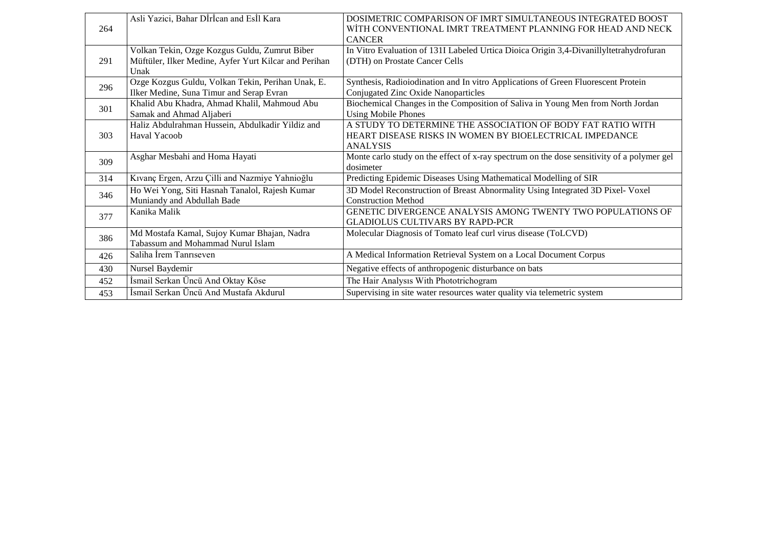| 264 | Asli Yazici, Bahar Dİrİcan and Esİl Kara                      | DOSIMETRIC COMPARISON OF IMRT SIMULTANEOUS INTEGRATED BOOST<br>WİTH CONVENTIONAL IMRT TREATMENT PLANNING FOR HEAD AND NECK |
|-----|---------------------------------------------------------------|----------------------------------------------------------------------------------------------------------------------------|
|     |                                                               | <b>CANCER</b>                                                                                                              |
|     | Volkan Tekin, Ozge Kozgus Guldu, Zumrut Biber                 | In Vitro Evaluation of 131I Labeled Urtica Dioica Origin 3,4-Divanillyltetrahydrofuran                                     |
| 291 | Müftüler, Ilker Medine, Ayfer Yurt Kilcar and Perihan<br>Unak | (DTH) on Prostate Cancer Cells                                                                                             |
|     |                                                               |                                                                                                                            |
| 296 | Ozge Kozgus Guldu, Volkan Tekin, Perihan Unak, E.             | Synthesis, Radioiodination and In vitro Applications of Green Fluorescent Protein                                          |
|     | Ilker Medine, Suna Timur and Serap Evran                      | Conjugated Zinc Oxide Nanoparticles                                                                                        |
| 301 | Khalid Abu Khadra, Ahmad Khalil, Mahmoud Abu                  | Biochemical Changes in the Composition of Saliva in Young Men from North Jordan                                            |
|     | Samak and Ahmad Aljaberi                                      | <b>Using Mobile Phones</b>                                                                                                 |
|     | Haliz Abdulrahman Hussein, Abdulkadir Yildiz and              | A STUDY TO DETERMINE THE ASSOCIATION OF BODY FAT RATIO WITH                                                                |
| 303 | Haval Yacoob                                                  | HEART DISEASE RISKS IN WOMEN BY BIOELECTRICAL IMPEDANCE                                                                    |
|     |                                                               | <b>ANALYSIS</b>                                                                                                            |
|     | Asghar Mesbahi and Homa Hayati                                | Monte carlo study on the effect of x-ray spectrum on the dose sensitivity of a polymer gel                                 |
| 309 |                                                               | dosimeter                                                                                                                  |
| 314 | Kıvanç Ergen, Arzu Çilli and Nazmiye Yahnioğlu                | Predicting Epidemic Diseases Using Mathematical Modelling of SIR                                                           |
| 346 | Ho Wei Yong, Siti Hasnah Tanalol, Rajesh Kumar                | 3D Model Reconstruction of Breast Abnormality Using Integrated 3D Pixel- Voxel                                             |
|     | Muniandy and Abdullah Bade                                    | <b>Construction Method</b>                                                                                                 |
|     | Kanika Malik                                                  | GENETIC DIVERGENCE ANALYSIS AMONG TWENTY TWO POPULATIONS OF                                                                |
| 377 |                                                               | <b>GLADIOLUS CULTIVARS BY RAPD-PCR</b>                                                                                     |
|     | Md Mostafa Kamal, Sujoy Kumar Bhajan, Nadra                   | Molecular Diagnosis of Tomato leaf curl virus disease (ToLCVD)                                                             |
| 386 | Tabassum and Mohammad Nurul Islam                             |                                                                                                                            |
| 426 | Saliha Irem Tanriseven                                        | A Medical Information Retrieval System on a Local Document Corpus                                                          |
| 430 | Nursel Baydemir                                               | Negative effects of anthropogenic disturbance on bats                                                                      |
| 452 | İsmail Serkan Üncü And Oktay Köse                             | The Hair Analysis With Phototrichogram                                                                                     |
| 453 | İsmail Serkan Üncü And Mustafa Akdurul                        | Supervising in site water resources water quality via telemetric system                                                    |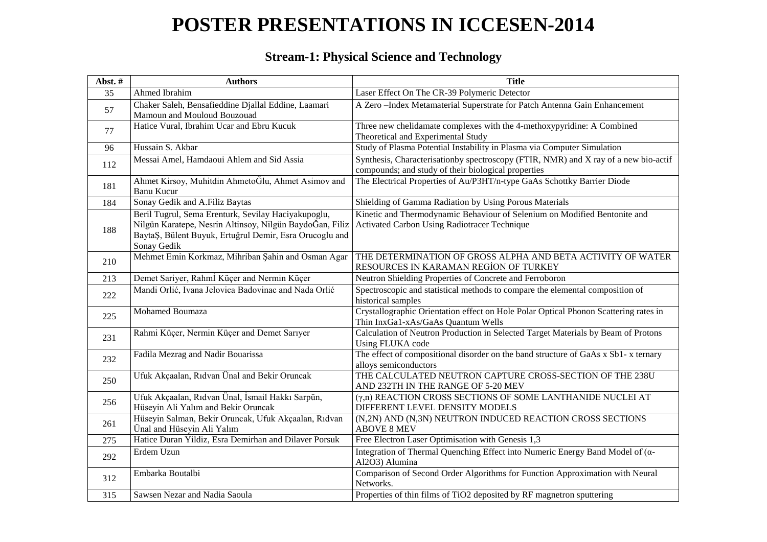# **POSTER PRESENTATIONS IN ICCESEN-2014**

#### **Stream-1: Physical Science and Technology**

| Abst.# | <b>Authors</b>                                                                                                                                                                            | <b>Title</b>                                                                                                                               |
|--------|-------------------------------------------------------------------------------------------------------------------------------------------------------------------------------------------|--------------------------------------------------------------------------------------------------------------------------------------------|
| 35     | Ahmed Ibrahim                                                                                                                                                                             | Laser Effect On The CR-39 Polymeric Detector                                                                                               |
| 57     | Chaker Saleh, Bensafieddine Djallal Eddine, Laamari<br>Mamoun and Mouloud Bouzouad                                                                                                        | A Zero-Index Metamaterial Superstrate for Patch Antenna Gain Enhancement                                                                   |
| 77     | Hatice Vural, Ibrahim Ucar and Ebru Kucuk                                                                                                                                                 | Three new chelidamate complexes with the 4-methoxypyridine: A Combined<br>Theoretical and Experimental Study                               |
| 96     | Hussain S. Akbar                                                                                                                                                                          | Study of Plasma Potential Instability in Plasma via Computer Simulation                                                                    |
| 112    | Messai Amel, Hamdaoui Ahlem and Sid Assia                                                                                                                                                 | Synthesis, Characterisationby spectroscopy (FTIR, NMR) and X ray of a new bio-actif<br>compounds; and study of their biological properties |
| 181    | Ahmet Kirsoy, Muhitdin AhmetoĞlu, Ahmet Asimov and<br><b>Banu Kucur</b>                                                                                                                   | The Electrical Properties of Au/P3HT/n-type GaAs Schottky Barrier Diode                                                                    |
| 184    | Sonay Gedik and A.Filiz Baytas                                                                                                                                                            | Shielding of Gamma Radiation by Using Porous Materials                                                                                     |
| 188    | Beril Tugrul, Sema Erenturk, Sevilay Haciyakupoglu,<br>Nilgün Karatepe, Nesrin Altinsoy, Nilgün BaydoĞan, Filiz<br>BaytaŞ, Bülent Buyuk, Ertuğrul Demir, Esra Orucoglu and<br>Sonay Gedik | Kinetic and Thermodynamic Behaviour of Selenium on Modified Bentonite and<br>Activated Carbon Using Radiotracer Technique                  |
| 210    | Mehmet Emin Korkmaz, Mihriban Şahin and Osman Agar                                                                                                                                        | THE DETERMINATION OF GROSS ALPHA AND BETA ACTIVITY OF WATER<br>RESOURCES IN KARAMAN REGION OF TURKEY                                       |
| 213    | Demet Sariyer, Rahmİ Küçer and Nermin Küçer                                                                                                                                               | Neutron Shielding Properties of Concrete and Ferroboron                                                                                    |
| 222    | Mandi Orlić, Ivana Jelovica Badovinac and Nada Orlić                                                                                                                                      | Spectroscopic and statistical methods to compare the elemental composition of<br>historical samples                                        |
| 225    | Mohamed Boumaza                                                                                                                                                                           | Crystallographic Orientation effect on Hole Polar Optical Phonon Scattering rates in<br>Thin InxGa1-xAs/GaAs Quantum Wells                 |
| 231    | Rahmi Küçer, Nermin Küçer and Demet Sarıyer                                                                                                                                               | Calculation of Neutron Production in Selected Target Materials by Beam of Protons<br>Using FLUKA code                                      |
| 232    | Fadila Mezrag and Nadir Bouarissa                                                                                                                                                         | The effect of compositional disorder on the band structure of GaAs x Sb1- x ternary<br>alloys semiconductors                               |
| 250    | Ufuk Akçaalan, Rıdvan Ünal and Bekir Oruncak                                                                                                                                              | THE CALCULATED NEUTRON CAPTURE CROSS-SECTION OF THE 238U<br>AND 232TH IN THE RANGE OF 5-20 MEV                                             |
| 256    | Ufuk Akçaalan, Rıdvan Ünal, İsmail Hakkı Sarpün,<br>Hüseyin Ali Yalım and Bekir Oruncak                                                                                                   | (y,n) REACTION CROSS SECTIONS OF SOME LANTHANIDE NUCLEI AT<br>DIFFERENT LEVEL DENSITY MODELS                                               |
| 261    | Hüseyin Salman, Bekir Oruncak, Ufuk Akçaalan, Rıdvan<br>Ünal and Hüseyin Ali Yalım                                                                                                        | (N,2N) AND (N,3N) NEUTRON INDUCED REACTION CROSS SECTIONS<br><b>ABOVE 8 MEV</b>                                                            |
| 275    | Hatice Duran Yildiz, Esra Demirhan and Dilaver Porsuk                                                                                                                                     | Free Electron Laser Optimisation with Genesis 1,3                                                                                          |
| 292    | Erdem Uzun                                                                                                                                                                                | Integration of Thermal Quenching Effect into Numeric Energy Band Model of $(a$ -<br>Al2O3) Alumina                                         |
| 312    | Embarka Boutalbi                                                                                                                                                                          | Comparison of Second Order Algorithms for Function Approximation with Neural<br>Networks.                                                  |
| 315    | Sawsen Nezar and Nadia Saoula                                                                                                                                                             | Properties of thin films of TiO2 deposited by RF magnetron sputtering                                                                      |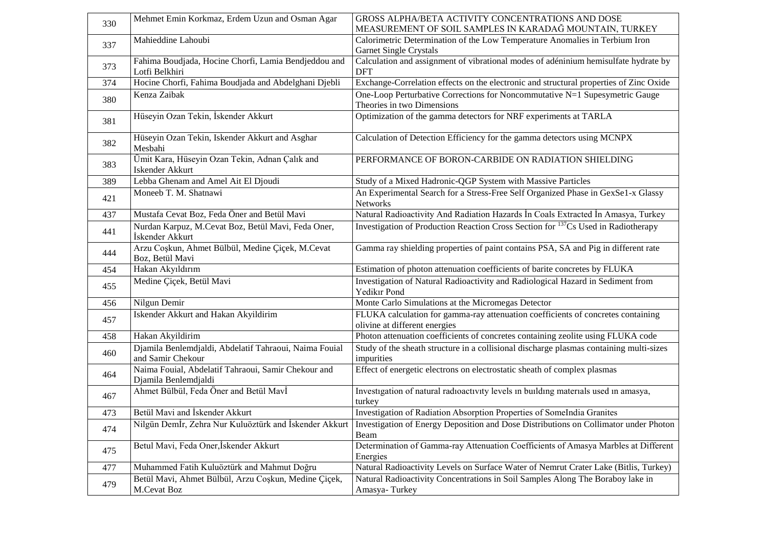| 330 | Mehmet Emin Korkmaz, Erdem Uzun and Osman Agar                              | GROSS ALPHA/BETA ACTIVITY CONCENTRATIONS AND DOSE<br>MEASUREMENT OF SOIL SAMPLES IN KARADAĞ MOUNTAIN, TURKEY                                          |
|-----|-----------------------------------------------------------------------------|-------------------------------------------------------------------------------------------------------------------------------------------------------|
|     | Mahieddine Lahoubi                                                          | Calorimetric Determination of the Low Temperature Anomalies in Terbium Iron                                                                           |
| 337 |                                                                             | <b>Garnet Single Crystals</b>                                                                                                                         |
| 373 | Fahima Boudjada, Hocine Chorfi, Lamia Bendjeddou and<br>Lotfi Belkhiri      | Calculation and assignment of vibrational modes of adéninium hemisulfate hydrate by<br><b>DFT</b>                                                     |
| 374 | Hocine Chorfi, Fahima Boudjada and Abdelghani Djebli                        | Exchange-Correlation effects on the electronic and structural properties of Zinc Oxide                                                                |
| 380 | Kenza Zaibak                                                                | One-Loop Perturbative Corrections for Noncommutative N=1 Supesymetric Gauge<br>Theories in two Dimensions                                             |
| 381 | Hüseyin Ozan Tekin, İskender Akkurt                                         | Optimization of the gamma detectors for NRF experiments at TARLA                                                                                      |
| 382 | Hüseyin Ozan Tekin, Iskender Akkurt and Asghar<br>Mesbahi                   | Calculation of Detection Efficiency for the gamma detectors using MCNPX                                                                               |
| 383 | Ümit Kara, Hüseyin Ozan Tekin, Adnan Çalık and<br><b>Iskender Akkurt</b>    | PERFORMANCE OF BORON-CARBIDE ON RADIATION SHIELDING                                                                                                   |
| 389 | Lebba Ghenam and Amel Ait El Djoudi                                         | Study of a Mixed Hadronic-QGP System with Massive Particles                                                                                           |
| 421 | Moneeb T. M. Shatnawi                                                       | An Experimental Search for a Stress-Free Self Organized Phase in GexSe1-x Glassy<br>Networks                                                          |
| 437 | Mustafa Cevat Boz, Feda Öner and Betül Mavi                                 | Natural Radioactivity And Radiation Hazards In Coals Extracted In Amasya, Turkey                                                                      |
| 441 | Nurdan Karpuz, M.Cevat Boz, Betül Mavi, Feda Oner,<br>İskender Akkurt       | Investigation of Production Reaction Cross Section for <sup>137</sup> Cs Used in Radiotherapy                                                         |
| 444 | Arzu Coşkun, Ahmet Bülbül, Medine Çiçek, M.Cevat<br>Boz, Betül Mavi         | Gamma ray shielding properties of paint contains PSA, SA and Pig in different rate                                                                    |
| 454 | Hakan Akyıldırım                                                            | Estimation of photon attenuation coefficients of barite concretes by FLUKA                                                                            |
| 455 | Medine Çiçek, Betül Mavi                                                    | Investigation of Natural Radioactivity and Radiological Hazard in Sediment from<br>Yedikır Pond                                                       |
| 456 | Nilgun Demir                                                                | Monte Carlo Simulations at the Micromegas Detector                                                                                                    |
| 457 | Iskender Akkurt and Hakan Akyildirim                                        | FLUKA calculation for gamma-ray attenuation coefficients of concretes containing<br>olivine at different energies                                     |
| 458 | Hakan Akyildirim                                                            | Photon attenuation coefficients of concretes containing zeolite using FLUKA code                                                                      |
| 460 | Djamila Benlemdjaldi, Abdelatif Tahraoui, Naima Fouial<br>and Samir Chekour | Study of the sheath structure in a collisional discharge plasmas containing multi-sizes<br>impurities                                                 |
| 464 | Naima Fouial, Abdelatif Tahraoui, Samir Chekour and<br>Djamila Benlemdjaldi | Effect of energetic electrons on electrostatic sheath of complex plasmas                                                                              |
| 467 | Ahmet Bülbül, Feda Öner and Betül Mavİ                                      | Investigation of natural radioactivity levels in building materials used in amasya,<br>turkey                                                         |
| 473 | Betül Mavi and İskender Akkurt                                              | Investigation of Radiation Absorption Properties of SomeIndia Granites                                                                                |
| 474 |                                                                             | Nilgün Demİr, Zehra Nur Kuluöztürk and İskender Akkurt   Investigation of Energy Deposition and Dose Distributions on Collimator under Photon<br>Beam |
| 475 | Betul Mavi, Feda Oner, İskender Akkurt                                      | Determination of Gamma-ray Attenuation Coefficients of Amasya Marbles at Different<br>Energies                                                        |
| 477 | Muhammed Fatih Kuluöztürk and Mahmut Doğru                                  | Natural Radioactivity Levels on Surface Water of Nemrut Crater Lake (Bitlis, Turkey)                                                                  |
| 479 | Betül Mavi, Ahmet Bülbül, Arzu Coşkun, Medine Çiçek,<br>M.Cevat Boz         | Natural Radioactivity Concentrations in Soil Samples Along The Boraboy lake in<br>Amasya-Turkey                                                       |
|     |                                                                             |                                                                                                                                                       |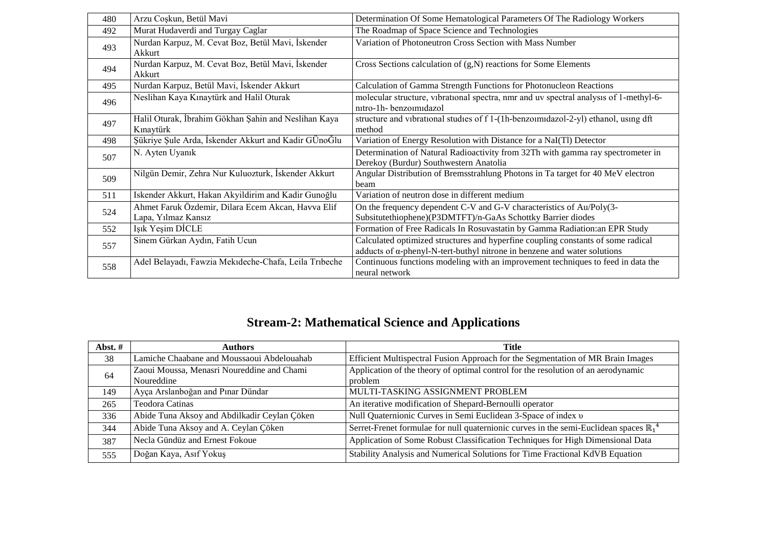| 480 | Arzu Coşkun, Betül Mavi                               | Determination Of Some Hematological Parameters Of The Radiology Workers               |
|-----|-------------------------------------------------------|---------------------------------------------------------------------------------------|
| 492 | Murat Hudaverdi and Turgay Caglar                     | The Roadmap of Space Science and Technologies                                         |
| 493 | Nurdan Karpuz, M. Cevat Boz, Betül Mavi, İskender     | Variation of Photoneutron Cross Section with Mass Number                              |
|     | Akkurt                                                |                                                                                       |
| 494 | Nurdan Karpuz, M. Cevat Boz, Betül Mavi, İskender     | Cross Sections calculation of $(g, N)$ reactions for Some Elements                    |
|     | Akkurt                                                |                                                                                       |
| 495 | Nurdan Karpuz, Betül Mavi, İskender Akkurt            | Calculation of Gamma Strength Functions for Photonucleon Reactions                    |
| 496 | Neslihan Kaya Kınaytürk and Halil Oturak              | molecular structure, vibrational spectra, nmr and uv spectral analysis of 1-methyl-6- |
|     |                                                       | nitro-1h-benzoimidazol                                                                |
| 497 | Halil Oturak, İbrahim Gökhan Şahin and Neslihan Kaya  | structure and vibrational studies of f 1-(1h-benzoimidazol-2-yl) ethanol, using dft   |
|     | Kınaytürk                                             | method                                                                                |
| 498 | Şükriye Şule Arda, İskender Akkurt and Kadir GÜnoĞlu  | Variation of Energy Resolution with Distance for a NaI(Tl) Detector                   |
| 507 | N. Ayten Uyanık                                       | Determination of Natural Radioactivity from 32Th with gamma ray spectrometer in       |
|     |                                                       | Derekoy (Burdur) Southwestern Anatolia                                                |
| 509 | Nilgün Demir, Zehra Nur Kuluozturk, İskender Akkurt   | Angular Distribution of Bremsstrahlung Photons in Ta target for 40 MeV electron       |
|     |                                                       | beam                                                                                  |
| 511 | Iskender Akkurt, Hakan Akyildirim and Kadir Gunoğlu   | Variation of neutron dose in different medium                                         |
| 524 | Ahmet Faruk Özdemir, Dilara Ecem Akcan, Havva Elif    | On the frequency dependent C-V and G-V characteristics of Au/Poly(3-                  |
|     | Lapa, Yılmaz Kansız                                   | Subsitutethiophene)(P3DMTFT)/n-GaAs Schottky Barrier diodes                           |
| 552 | Işık Yeşim DİCLE                                      | Formation of Free Radicals In Rosuvastatin by Gamma Radiation: an EPR Study           |
| 557 | Sinem Gürkan Aydın, Fatih Ucun                        | Calculated optimized structures and hyperfine coupling constants of some radical      |
|     |                                                       | adducts of $\alpha$ -phenyl-N-tert-buthyl nitrone in benzene and water solutions      |
|     | Adel Belayadı, Fawzia Mekıdeche-Chafa, Leila Trıbeche | Continuous functions modeling with an improvement techniques to feed in data the      |
| 558 |                                                       | neural network                                                                        |

#### **Stream-2: Mathematical Science and Applications**

| Abst.# | Authors                                                  | Title                                                                                             |
|--------|----------------------------------------------------------|---------------------------------------------------------------------------------------------------|
| 38     | Lamiche Chaabane and Moussaoui Abdelouahab               | Efficient Multispectral Fusion Approach for the Segmentation of MR Brain Images                   |
| 64     | Zaoui Moussa, Menasri Noureddine and Chami<br>Noureddine | Application of the theory of optimal control for the resolution of an aerodynamic<br>problem      |
| 149    | Ayça Arslanboğan and Pınar Dündar                        | MULTI-TASKING ASSIGNMENT PROBLEM                                                                  |
| 265    | Teodora Catinas                                          | An iterative modification of Shepard-Bernoulli operator                                           |
| 336    | Abide Tuna Aksoy and Abdilkadir Ceylan Çöken             | Null Quaternionic Curves in Semi Euclidean 3-Space of index v                                     |
| 344    | Abide Tuna Aksoy and A. Ceylan Çöken                     | Serret-Frenet formulae for null quaternionic curves in the semi-Euclidean spaces $\mathbb{R}_1^4$ |
| 387    | Necla Gündüz and Ernest Fokoue                           | Application of Some Robust Classification Techniques for High Dimensional Data                    |
| 555    | Doğan Kaya, Asıf Yokuş                                   | Stability Analysis and Numerical Solutions for Time Fractional KdVB Equation                      |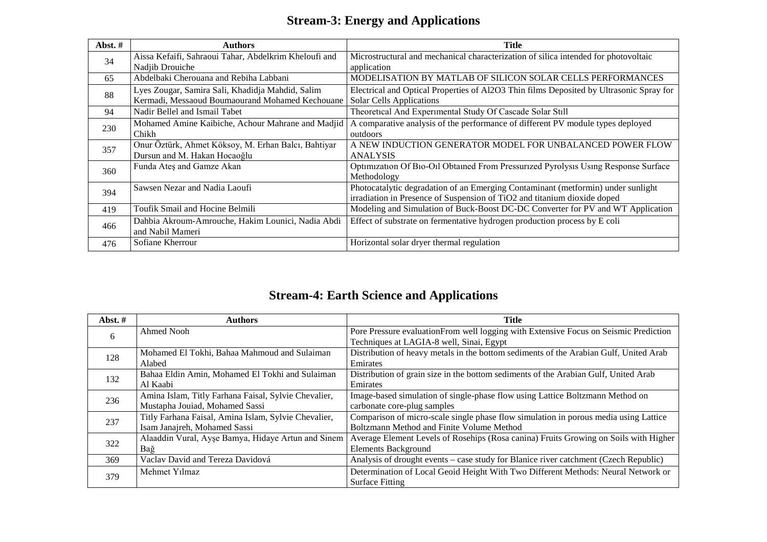#### **Stream-3: Energy and Applications**

| Abst. $#$ | <b>Authors</b>                                                                                      | Title                                                                                                                                                        |
|-----------|-----------------------------------------------------------------------------------------------------|--------------------------------------------------------------------------------------------------------------------------------------------------------------|
| 34        | Aissa Kefaifi, Sahraoui Tahar, Abdelkrim Kheloufi and<br>Nadjib Drouiche                            | Microstructural and mechanical characterization of silica intended for photovoltaic<br>application                                                           |
| 65        | Abdelbaki Cherouana and Rebiha Labbani                                                              | MODELISATION BY MATLAB OF SILICON SOLAR CELLS PERFORMANCES                                                                                                   |
| 88        | Lyes Zougar, Samira Sali, Khadidja Mahdid, Salim<br>Kermadi, Messaoud Boumaourand Mohamed Kechouane | Electrical and Optical Properties of Al2O3 Thin films Deposited by Ultrasonic Spray for<br><b>Solar Cells Applications</b>                                   |
| 94        | Nadir Bellel and Ismail Tabet                                                                       | Theoretical And Experimental Study Of Cascade Solar Still                                                                                                    |
| 230       | Mohamed Amine Kaibiche, Achour Mahrane and Madjid<br>Chikh                                          | A comparative analysis of the performance of different PV module types deployed<br>outdoors                                                                  |
| 357       | Onur Öztürk, Ahmet Köksoy, M. Erhan Balcı, Bahtiyar<br>Dursun and M. Hakan Hocaoğlu                 | A NEW INDUCTION GENERATOR MODEL FOR UNBALANCED POWER FLOW<br><b>ANALYSIS</b>                                                                                 |
| 360       | Funda Ateş and Gamze Akan                                                                           | Optimization Of Bio-Oil Obtained From Pressurized Pyrolysis Using Response Surface<br>Methodology                                                            |
| 394       | Sawsen Nezar and Nadia Laoufi                                                                       | Photocatalytic degradation of an Emerging Contaminant (metformin) under sunlight<br>irradiation in Presence of Suspension of TiO2 and titanium dioxide doped |
| 419       | Toufik Smail and Hocine Belmili                                                                     | Modeling and Simulation of Buck-Boost DC-DC Converter for PV and WT Application                                                                              |
| 466       | Dahbia Akroum-Amrouche, Hakim Lounici, Nadia Abdi<br>and Nabil Mameri                               | Effect of substrate on fermentative hydrogen production process by E coli                                                                                    |
| 476       | Sofiane Kherrour                                                                                    | Horizontal solar dryer thermal regulation                                                                                                                    |

### **Stream-4: Earth Science and Applications**

| Abst. $#$ | <b>Authors</b>                                       | Title                                                                                 |
|-----------|------------------------------------------------------|---------------------------------------------------------------------------------------|
| 6         | Ahmed Nooh                                           | Pore Pressure evaluation From well logging with Extensive Focus on Seismic Prediction |
|           |                                                      | Techniques at LAGIA-8 well, Sinai, Egypt                                              |
| 128       | Mohamed El Tokhi, Bahaa Mahmoud and Sulaiman         | Distribution of heavy metals in the bottom sediments of the Arabian Gulf, United Arab |
|           | Alabed                                               | Emirates                                                                              |
| 132       | Bahaa Eldin Amin, Mohamed El Tokhi and Sulaiman      | Distribution of grain size in the bottom sediments of the Arabian Gulf, United Arab   |
|           | Al Kaabi                                             | Emirates                                                                              |
| 236       | Amina Islam, Titly Farhana Faisal, Sylvie Chevalier, | Image-based simulation of single-phase flow using Lattice Boltzmann Method on         |
|           | Mustapha Jouiad, Mohamed Sassi                       | carbonate core-plug samples                                                           |
| 237       | Titly Farhana Faisal, Amina Islam, Sylvie Chevalier, | Comparison of micro-scale single phase flow simulation in porous media using Lattice  |
|           | Isam Janajreh, Mohamed Sassi                         | Boltzmann Method and Finite Volume Method                                             |
| 322       | Alaaddin Vural, Ayse Bamya, Hidaye Artun and Sinem   | Average Element Levels of Rosehips (Rosa canina) Fruits Growing on Soils with Higher  |
|           | Bağ                                                  | <b>Elements Background</b>                                                            |
| 369       | Vaclav David and Tereza Davidová                     | Analysis of drought events – case study for Blanice river catchment (Czech Republic)  |
| 379       | Mehmet Yilmaz                                        | Determination of Local Geoid Height With Two Different Methods: Neural Network or     |
|           |                                                      | <b>Surface Fitting</b>                                                                |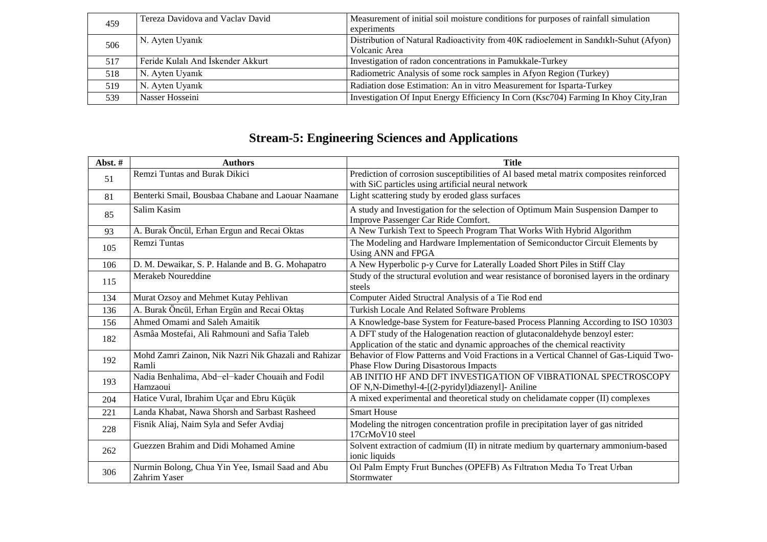| 459 | Tereza Davidova and Vaclav David  | Measurement of initial soil moisture conditions for purposes of rainfall simulation   |
|-----|-----------------------------------|---------------------------------------------------------------------------------------|
|     |                                   | experiments                                                                           |
| 506 | N. Ayten Uyanık                   | Distribution of Natural Radioactivity from 40K radioelement in Sandıklı-Suhut (Afyon) |
|     |                                   | Volcanic Area                                                                         |
| 517 | Feride Kulalı And İskender Akkurt | Investigation of radon concentrations in Pamukkale-Turkey                             |
| 518 | N. Ayten Uyanık                   | Radiometric Analysis of some rock samples in Afyon Region (Turkey)                    |
| 519 | N. Ayten Uyanık                   | Radiation dose Estimation: An in vitro Measurement for Isparta-Turkey                 |
| 539 | Nasser Hosseini                   | Investigation Of Input Energy Efficiency In Corn (Ksc704) Farming In Khoy City, Iran  |

### **Stream-5: Engineering Sciences and Applications**

| Abst.# | <b>Authors</b>                                                   | <b>Title</b>                                                                                                                                               |
|--------|------------------------------------------------------------------|------------------------------------------------------------------------------------------------------------------------------------------------------------|
| 51     | Remzi Tuntas and Burak Dikici                                    | Prediction of corrosion susceptibilities of Al based metal matrix composites reinforced<br>with SiC particles using artificial neural network              |
| 81     | Benterki Smail, Bousbaa Chabane and Laouar Naamane               | Light scattering study by eroded glass surfaces                                                                                                            |
| 85     | Salim Kasim                                                      | A study and Investigation for the selection of Optimum Main Suspension Damper to<br>Improve Passenger Car Ride Comfort.                                    |
| 93     | A. Burak Öncül, Erhan Ergun and Recai Oktas                      | A New Turkish Text to Speech Program That Works With Hybrid Algorithm                                                                                      |
| 105    | Remzi Tuntas                                                     | The Modeling and Hardware Implementation of Semiconductor Circuit Elements by<br>Using ANN and FPGA                                                        |
| 106    | D. M. Dewaikar, S. P. Halande and B. G. Mohapatro                | A New Hyperbolic p-y Curve for Laterally Loaded Short Piles in Stiff Clay                                                                                  |
| 115    | Merakeb Noureddine                                               | Study of the structural evolution and wear resistance of boronised layers in the ordinary<br>steels                                                        |
| 134    | Murat Ozsoy and Mehmet Kutay Pehlivan                            | Computer Aided Structral Analysis of a Tie Rod end                                                                                                         |
| 136    | A. Burak Öncül, Erhan Ergün and Recai Oktaş                      | <b>Turkish Locale And Related Software Problems</b>                                                                                                        |
| 156    | Ahmed Omami and Saleh Amaitik                                    | A Knowledge-base System for Feature-based Process Planning According to ISO 10303                                                                          |
| 182    | Asmâa Mostefai, Ali Rahmouni and Safia Taleb                     | A DFT study of the Halogenation reaction of glutaconaldehyde benzoyl ester:<br>Application of the static and dynamic approaches of the chemical reactivity |
| 192    | Mohd Zamri Zainon, Nik Nazri Nik Ghazali and Rahizar<br>Ramli    | Behavior of Flow Patterns and Void Fractions in a Vertical Channel of Gas-Liquid Two-<br><b>Phase Flow During Disastorous Impacts</b>                      |
| 193    | Nadia Benhalima, Abd-el-kader Chouaih and Fodil<br>Hamzaoui      | AB INITIO HF AND DFT INVESTIGATION OF VIBRATIONAL SPECTROSCOPY<br>OF N,N-Dimethyl-4-[(2-pyridyl)diazenyl]- Aniline                                         |
| 204    | Hatice Vural, Ibrahim Uçar and Ebru Küçük                        | A mixed experimental and theoretical study on chelidamate copper (II) complexes                                                                            |
| 221    | Landa Khabat, Nawa Shorsh and Sarbast Rasheed                    | <b>Smart House</b>                                                                                                                                         |
| 228    | Fisnik Aliaj, Naim Syla and Sefer Avdiaj                         | Modeling the nitrogen concentration profile in precipitation layer of gas nitrided<br>17CrMoV10 steel                                                      |
| 262    | Guezzen Brahim and Didi Mohamed Amine                            | Solvent extraction of cadmium (II) in nitrate medium by quarternary ammonium-based<br>ionic liquids                                                        |
| 306    | Nurmin Bolong, Chua Yin Yee, Ismail Saad and Abu<br>Zahrim Yaser | Oil Palm Empty Fruit Bunches (OPEFB) As Filtration Media To Treat Urban<br>Stormwater                                                                      |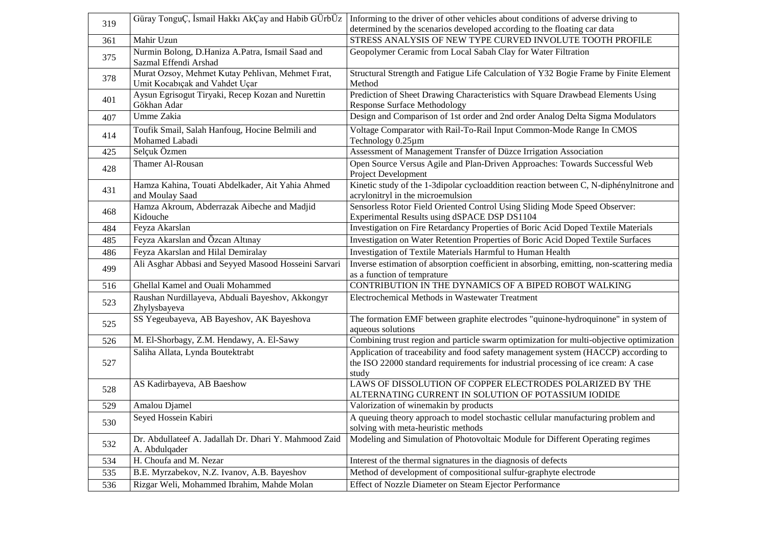| 319 |                                                                                     | Güray TonguÇ, İsmail Hakkı AkÇay and Habib GÜrbÜz   Informing to the driver of other vehicles about conditions of adverse driving to                                              |
|-----|-------------------------------------------------------------------------------------|-----------------------------------------------------------------------------------------------------------------------------------------------------------------------------------|
|     |                                                                                     | determined by the scenarios developed according to the floating car data                                                                                                          |
| 361 | Mahir Uzun                                                                          | STRESS ANALYSIS OF NEW TYPE CURVED INVOLUTE TOOTH PROFILE                                                                                                                         |
| 375 | Nurmin Bolong, D.Haniza A.Patra, Ismail Saad and<br>Sazmal Effendi Arshad           | Geopolymer Ceramic from Local Sabah Clay for Water Filtration                                                                                                                     |
| 378 | Murat Ozsoy, Mehmet Kutay Pehlivan, Mehmet Fırat,<br>Umit Kocabıçak and Vahdet Uçar | Structural Strength and Fatigue Life Calculation of Y32 Bogie Frame by Finite Element<br>Method                                                                                   |
| 401 | Aysun Egrisogut Tiryaki, Recep Kozan and Nurettin<br>Gökhan Adar                    | Prediction of Sheet Drawing Characteristics with Square Drawbead Elements Using<br><b>Response Surface Methodology</b>                                                            |
| 407 | Umme Zakia                                                                          | Design and Comparison of 1st order and 2nd order Analog Delta Sigma Modulators                                                                                                    |
| 414 | Toufik Smail, Salah Hanfoug, Hocine Belmili and<br>Mohamed Labadi                   | Voltage Comparator with Rail-To-Rail Input Common-Mode Range In CMOS<br>Technology 0.25µm                                                                                         |
| 425 | Selçuk Özmen                                                                        | Assessment of Management Transfer of Düzce Irrigation Association                                                                                                                 |
| 428 | Thamer Al-Rousan                                                                    | Open Source Versus Agile and Plan-Driven Approaches: Towards Successful Web<br>Project Development                                                                                |
| 431 | Hamza Kahina, Touati Abdelkader, Ait Yahia Ahmed<br>and Moulay Saad                 | Kinetic study of the 1-3dipolar cycloaddition reaction between C, N-diphénylnitrone and<br>acrylonitryl in the microemulsion                                                      |
| 468 | Hamza Akroum, Abderrazak Aibeche and Madjid<br>Kidouche                             | Sensorless Rotor Field Oriented Control Using Sliding Mode Speed Observer:<br>Experimental Results using dSPACE DSP DS1104                                                        |
| 484 | Feyza Akarslan                                                                      | Investigation on Fire Retardancy Properties of Boric Acid Doped Textile Materials                                                                                                 |
| 485 | Feyza Akarslan and Özcan Altınay                                                    | Investigation on Water Retention Properties of Boric Acid Doped Textile Surfaces                                                                                                  |
| 486 | Feyza Akarslan and Hilal Demiralay                                                  | Investigation of Textile Materials Harmful to Human Health                                                                                                                        |
| 499 | Ali Asghar Abbasi and Seyyed Masood Hosseini Sarvari                                | Inverse estimation of absorption coefficient in absorbing, emitting, non-scattering media<br>as a function of temprature                                                          |
| 516 | Ghellal Kamel and Ouali Mohammed                                                    | CONTRIBUTION IN THE DYNAMICS OF A BIPED ROBOT WALKING                                                                                                                             |
| 523 | Raushan Nurdillayeva, Abduali Bayeshov, Akkongyr<br>Zhylysbayeva                    | Electrochemical Methods in Wastewater Treatment                                                                                                                                   |
| 525 | SS Yegeubayeva, AB Bayeshov, AK Bayeshova                                           | The formation EMF between graphite electrodes "quinone-hydroquinone" in system of<br>aqueous solutions                                                                            |
| 526 | M. El-Shorbagy, Z.M. Hendawy, A. El-Sawy                                            | Combining trust region and particle swarm optimization for multi-objective optimization                                                                                           |
| 527 | Saliha Allata, Lynda Boutektrabt                                                    | Application of traceability and food safety management system (HACCP) according to<br>the ISO 22000 standard requirements for industrial processing of ice cream: A case<br>study |
| 528 | AS Kadirbayeva, AB Baeshow                                                          | LAWS OF DISSOLUTION OF COPPER ELECTRODES POLARIZED BY THE<br>ALTERNATING CURRENT IN SOLUTION OF POTASSIUM IODIDE                                                                  |
| 529 | Amalou Djamel                                                                       | Valorization of winemakin by products                                                                                                                                             |
| 530 | Seyed Hossein Kabiri                                                                | A queuing theory approach to model stochastic cellular manufacturing problem and<br>solving with meta-heuristic methods                                                           |
| 532 | Dr. Abdullateef A. Jadallah Dr. Dhari Y. Mahmood Zaid<br>A. Abdulqader              | Modeling and Simulation of Photovoltaic Module for Different Operating regimes                                                                                                    |
| 534 | H. Choufa and M. Nezar                                                              | Interest of the thermal signatures in the diagnosis of defects                                                                                                                    |
| 535 | B.E. Myrzabekov, N.Z. Ivanov, A.B. Bayeshov                                         | Method of development of compositional sulfur-graphyte electrode                                                                                                                  |
| 536 | Rizgar Weli, Mohammed Ibrahim, Mahde Molan                                          | Effect of Nozzle Diameter on Steam Ejector Performance                                                                                                                            |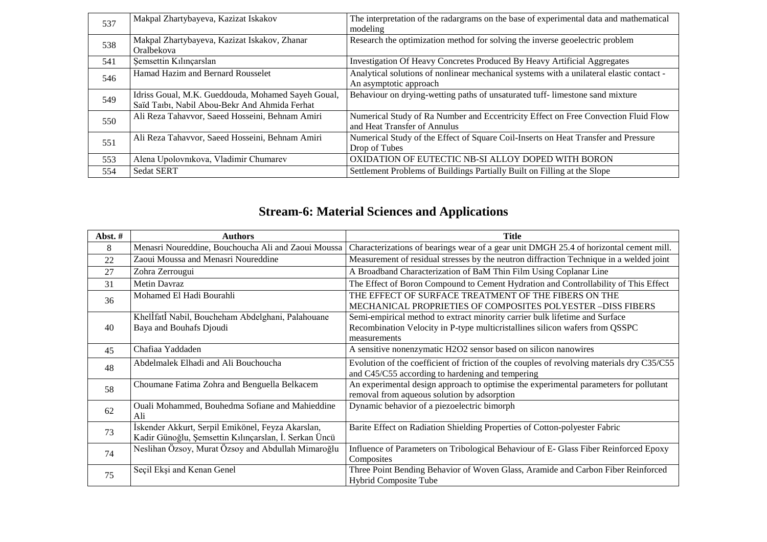| 537 | Makpal Zhartybayeva, Kazizat Iskakov                                                                | The interpretation of the radargrams on the base of experimental data and mathematical<br>modeling                 |
|-----|-----------------------------------------------------------------------------------------------------|--------------------------------------------------------------------------------------------------------------------|
| 538 | Makpal Zhartybayeva, Kazizat Iskakov, Zhanar<br>Oralbekova                                          | Research the optimization method for solving the inverse geoelectric problem                                       |
| 541 | Şemsettin Kılınçarslan                                                                              | Investigation Of Heavy Concretes Produced By Heavy Artificial Aggregates                                           |
| 546 | Hamad Hazim and Bernard Rousselet                                                                   | Analytical solutions of nonlinear mechanical systems with a unilateral elastic contact -<br>An asymptotic approach |
| 549 | Idriss Goual, M.K. Gueddouda, Mohamed Sayeh Goual,<br>Saïd Taıbı, Nabil Abou-Bekr And Ahmida Ferhat | Behaviour on drying-wetting paths of unsaturated tuff- limestone sand mixture                                      |
| 550 | Ali Reza Tahavvor, Saeed Hosseini, Behnam Amiri                                                     | Numerical Study of Ra Number and Eccentricity Effect on Free Convection Fluid Flow<br>and Heat Transfer of Annulus |
| 551 | Ali Reza Tahavvor, Saeed Hosseini, Behnam Amiri                                                     | Numerical Study of the Effect of Square Coil-Inserts on Heat Transfer and Pressure<br>Drop of Tubes                |
| 553 | Alena Upolovnikova, Vladimir Chumarev                                                               | OXIDATION OF EUTECTIC NB-SI ALLOY DOPED WITH BORON                                                                 |
| 554 | <b>Sedat SERT</b>                                                                                   | Settlement Problems of Buildings Partially Built on Filling at the Slope                                           |

### **Stream-6: Material Sciences and Applications**

| Abst.# | <b>Authors</b>                                                                                             | <b>Title</b>                                                                                                                                                                |
|--------|------------------------------------------------------------------------------------------------------------|-----------------------------------------------------------------------------------------------------------------------------------------------------------------------------|
| 8      | Menasri Noureddine, Bouchoucha Ali and Zaoui Moussa                                                        | Characterizations of bearings wear of a gear unit DMGH 25.4 of horizontal cement mill.                                                                                      |
| 22     | Zaoui Moussa and Menasri Noureddine                                                                        | Measurement of residual stresses by the neutron diffraction Technique in a welded joint                                                                                     |
| 27     | Zohra Zerrougui                                                                                            | A Broadband Characterization of BaM Thin Film Using Coplanar Line                                                                                                           |
| 31     | <b>Metin Davraz</b>                                                                                        | The Effect of Boron Compound to Cement Hydration and Controllability of This Effect                                                                                         |
| 36     | Mohamed El Hadi Bourahli                                                                                   | THE EFFECT OF SURFACE TREATMENT OF THE FIBERS ON THE<br>MECHANICAL PROPRIETIES OF COMPOSITES POLYESTER -DISS FIBERS                                                         |
| 40     | Khellfatl Nabil, Boucheham Abdelghani, Palahouane<br>Baya and Bouhafs Djoudi                               | Semi-empirical method to extract minority carrier bulk lifetime and Surface<br>Recombination Velocity in P-type multicristallines silicon wafers from QSSPC<br>measurements |
| 45     | Chafiaa Yaddaden                                                                                           | A sensitive nonenzymatic H2O2 sensor based on silicon nanowires                                                                                                             |
| 48     | Abdelmalek Elhadi and Ali Bouchoucha                                                                       | Evolution of the coefficient of friction of the couples of revolving materials dry C35/C55<br>and C45/C55 according to hardening and tempering                              |
| 58     | Choumane Fatima Zohra and Benguella Belkacem                                                               | An experimental design approach to optimise the experimental parameters for pollutant<br>removal from aqueous solution by adsorption                                        |
| 62     | Ouali Mohammed, Bouhedma Sofiane and Mahieddine<br>Ali                                                     | Dynamic behavior of a piezoelectric bimorph                                                                                                                                 |
| 73     | İskender Akkurt, Serpil Emikönel, Feyza Akarslan,<br>Kadir Günoğlu, Şemsettin Kılınçarslan, İ. Serkan Üncü | Barite Effect on Radiation Shielding Properties of Cotton-polyester Fabric                                                                                                  |
| 74     | Neslihan Özsoy, Murat Özsoy and Abdullah Mimaroğlu                                                         | Influence of Parameters on Tribological Behaviour of E- Glass Fiber Reinforced Epoxy<br>Composites                                                                          |
| 75     | Seçil Ekşi and Kenan Genel                                                                                 | Three Point Bending Behavior of Woven Glass, Aramide and Carbon Fiber Reinforced<br><b>Hybrid Composite Tube</b>                                                            |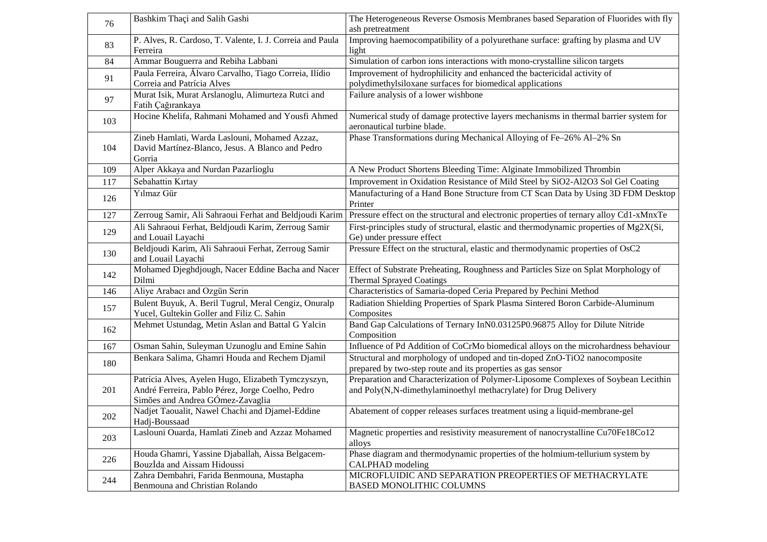| 76  | Bashkim Thaçi and Salih Gashi                                                                                                              | The Heterogeneous Reverse Osmosis Membranes based Separation of Fluorides with fly<br>ash pretreatment                                                |
|-----|--------------------------------------------------------------------------------------------------------------------------------------------|-------------------------------------------------------------------------------------------------------------------------------------------------------|
| 83  | P. Alves, R. Cardoso, T. Valente, I. J. Correia and Paula<br>Ferreira                                                                      | Improving haemocompatibility of a polyurethane surface: grafting by plasma and UV<br>light                                                            |
| 84  | Ammar Bouguerra and Rebiha Labbani                                                                                                         | Simulation of carbon ions interactions with mono-crystalline silicon targets                                                                          |
| 91  | Paula Ferreira, Álvaro Carvalho, Tiago Correia, Ilídio<br>Correia and Patrícia Alves                                                       | Improvement of hydrophilicity and enhanced the bactericidal activity of<br>polydimethylsiloxane surfaces for biomedical applications                  |
| 97  | Murat Isik, Murat Arslanoglu, Alimurteza Rutci and<br>Fatih Çağırankaya                                                                    | Failure analysis of a lower wishbone                                                                                                                  |
| 103 | Hocine Khelifa, Rahmani Mohamed and Yousfi Ahmed                                                                                           | Numerical study of damage protective layers mechanisms in thermal barrier system for<br>aeronautical turbine blade.                                   |
| 104 | Zineb Hamlati, Warda Laslouni, Mohamed Azzaz,<br>David Martínez-Blanco, Jesus. A Blanco and Pedro<br>Gorria                                | Phase Transformations during Mechanical Alloying of Fe-26% Al-2% Sn                                                                                   |
| 109 | Alper Akkaya and Nurdan Pazarlioglu                                                                                                        | A New Product Shortens Bleeding Time: Alginate Immobilized Thrombin                                                                                   |
| 117 | Sebahattin Kırtay                                                                                                                          | Improvement in Oxidation Resistance of Mild Steel by SiO2-Al2O3 Sol Gel Coating                                                                       |
| 126 | Yılmaz Gür                                                                                                                                 | Manufacturing of a Hand Bone Structure from CT Scan Data by Using 3D FDM Desktop<br>Printer                                                           |
| 127 | Zerroug Samir, Ali Sahraoui Ferhat and Beldjoudi Karim                                                                                     | Pressure effect on the structural and electronic properties of ternary alloy Cd1-xMnxTe                                                               |
| 129 | Ali Sahraoui Ferhat, Beldjoudi Karim, Zerroug Samir<br>and Louail Layachi                                                                  | First-principles study of structural, elastic and thermodynamic properties of Mg2X(Si,<br>Ge) under pressure effect                                   |
| 130 | Beldjoudi Karim, Ali Sahraoui Ferhat, Zerroug Samir<br>and Louail Layachi                                                                  | Pressure Effect on the structural, elastic and thermodynamic properties of OsC2                                                                       |
| 142 | Mohamed Djeghdjough, Nacer Eddine Bacha and Nacer<br>Dilmi                                                                                 | Effect of Substrate Preheating, Roughness and Particles Size on Splat Morphology of<br><b>Thermal Sprayed Coatings</b>                                |
| 146 | Aliye Arabacı and Ozgün Serin                                                                                                              | Characteristics of Samaria-doped Ceria Prepared by Pechini Method                                                                                     |
| 157 | Bulent Buyuk, A. Beril Tugrul, Meral Cengiz, Onuralp<br>Yucel, Gultekin Goller and Filiz C. Sahin                                          | Radiation Shielding Properties of Spark Plasma Sintered Boron Carbide-Aluminum<br>Composites                                                          |
| 162 | Mehmet Ustundag, Metin Aslan and Battal G Yalcin                                                                                           | Band Gap Calculations of Ternary InN0.03125P0.96875 Alloy for Dilute Nitride<br>Composition                                                           |
| 167 | Osman Sahin, Suleyman Uzunoglu and Emine Sahin                                                                                             | Influence of Pd Addition of CoCrMo biomedical alloys on the microhardness behaviour                                                                   |
| 180 | Benkara Salima, Ghamri Houda and Rechem Djamil                                                                                             | Structural and morphology of undoped and tin-doped ZnO-TiO2 nanocomposite<br>prepared by two-step route and its properties as gas sensor              |
| 201 | Patrícia Alves, Ayelen Hugo, Elizabeth Tymczyszyn,<br>André Ferreira, Pablo Pérez, Jorge Coelho, Pedro<br>Simões and Andrea GÓmez-Zavaglia | Preparation and Characterization of Polymer-Liposome Complexes of Soybean Lecithin<br>and Poly(N,N-dimethylaminoethyl methacrylate) for Drug Delivery |
| 202 | Nadjet Taoualit, Nawel Chachi and Djamel-Eddine<br>Hadj-Boussaad                                                                           | Abatement of copper releases surfaces treatment using a liquid-membrane-gel                                                                           |
| 203 | Laslouni Ouarda, Hamlati Zineb and Azzaz Mohamed                                                                                           | Magnetic properties and resistivity measurement of nanocrystalline Cu70Fe18Co12<br>alloys                                                             |
| 226 | Houda Ghamri, Yassine Djaballah, Aissa Belgacem-<br>Bouzİda and Aissam Hidoussi                                                            | Phase diagram and thermodynamic properties of the holmium-tellurium system by<br>CALPHAD modeling                                                     |
| 244 | Zahra Dembahri, Farida Benmouna, Mustapha<br>Benmouna and Christian Rolando                                                                | MICROFLUIDIC AND SEPARATION PREOPERTIES OF METHACRYLATE<br><b>BASED MONOLITHIC COLUMNS</b>                                                            |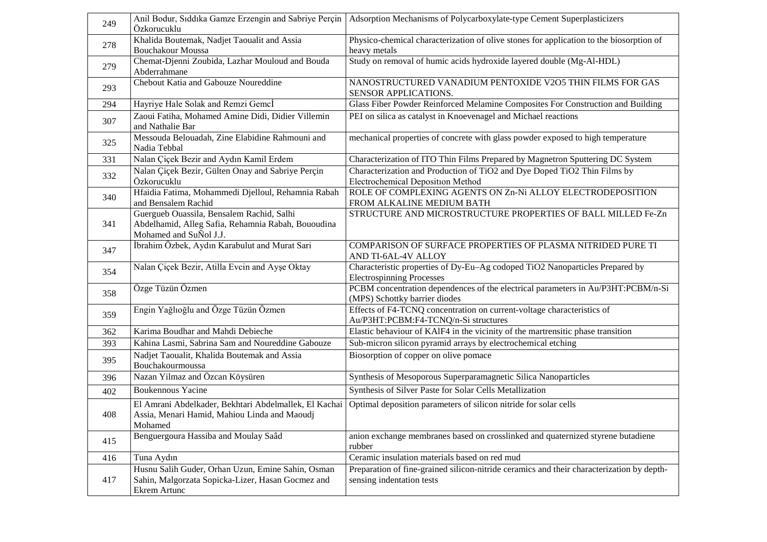| 249 | Özkorucuklu                                                                  | Anil Bodur, Siddika Gamze Erzengin and Sabriye Perçin   Adsorption Mechanisms of Polycarboxylate-type Cement Superplasticizers |
|-----|------------------------------------------------------------------------------|--------------------------------------------------------------------------------------------------------------------------------|
| 278 | Khalida Boutemak, Nadjet Taoualit and Assia                                  | Physico-chemical characterization of olive stones for application to the biosorption of                                        |
|     | <b>Bouchakour Moussa</b>                                                     | heavy metals                                                                                                                   |
| 279 | Chemat-Djenni Zoubida, Lazhar Mouloud and Bouda<br>Abderrahmane              | Study on removal of humic acids hydroxide layered double (Mg-Al-HDL)                                                           |
| 293 | Chebout Katia and Gabouze Noureddine                                         | NANOSTRUCTURED VANADIUM PENTOXIDE V2O5 THIN FILMS FOR GAS<br>SENSOR APPLICATIONS.                                              |
| 294 | Hayriye Hale Solak and Remzi Gemcİ                                           | Glass Fiber Powder Reinforced Melamine Composites For Construction and Building                                                |
| 307 | Zaoui Fatiha, Mohamed Amine Didi, Didier Villemin<br>and Nathalie Bar        | PEI on silica as catalyst in Knoevenagel and Michael reactions                                                                 |
| 325 | Messouda Belouadah, Zine Elabidine Rahmouni and<br>Nadia Tebbal              | mechanical properties of concrete with glass powder exposed to high temperature                                                |
| 331 | Nalan Çiçek Bezir and Aydın Kamil Erdem                                      | Characterization of ITO Thin Films Prepared by Magnetron Sputtering DC System                                                  |
| 332 | Nalan Çiçek Bezir, Gülten Onay and Sabriye Perçin                            | Characterization and Production of TiO2 and Dye Doped TiO2 Thin Films by                                                       |
|     | Özkorucuklu                                                                  | <b>Electrochemical Deposition Method</b>                                                                                       |
| 340 | Hfaidia Fatima, Mohammedi Djelloul, Rehamnia Rabah                           | ROLE OF COMPLEXING AGENTS ON Zn-Ni ALLOY ELECTRODEPOSITION                                                                     |
|     | and Bensalem Rachid                                                          | FROM ALKALINE MEDIUM BATH                                                                                                      |
|     | Guergueb Ouassila, Bensalem Rachid, Salhi                                    | STRUCTURE AND MICROSTRUCTURE PROPERTIES OF BALL MILLED Fe-Zn                                                                   |
| 341 | Abdelhamid, Alleg Safia, Rehamnia Rabah, Bououdina<br>Mohamed and SuÑol J.J. |                                                                                                                                |
|     | İbrahim Özbek, Aydın Karabulut and Murat Sari                                | COMPARISON OF SURFACE PROPERTIES OF PLASMA NITRIDED PURE TI                                                                    |
| 347 |                                                                              | AND TI-6AL-4V ALLOY                                                                                                            |
| 354 | Nalan Çiçek Bezir, Atilla Evcin and Ayşe Oktay                               | Characteristic properties of Dy-Eu-Ag codoped TiO2 Nanoparticles Prepared by                                                   |
|     |                                                                              | <b>Electrospinning Processes</b>                                                                                               |
| 358 | Özge Tüzün Özmen                                                             | PCBM concentration dependences of the electrical parameters in Au/P3HT:PCBM/n-Si<br>(MPS) Schottky barrier diodes              |
|     | Engin Yağlıoğlu and Özge Tüzün Özmen                                         | Effects of F4-TCNQ concentration on current-voltage characteristics of                                                         |
| 359 |                                                                              | Au/P3HT:PCBM:F4-TCNQ/n-Si structures                                                                                           |
| 362 | Karima Boudhar and Mahdi Debieche                                            | Elastic behaviour of KAIF4 in the vicinity of the martrensitic phase transition                                                |
| 393 | Kahina Lasmi, Sabrina Sam and Noureddine Gabouze                             | Sub-micron silicon pyramid arrays by electrochemical etching                                                                   |
| 395 | Nadjet Taoualit, Khalida Boutemak and Assia<br>Bouchakourmoussa              | Biosorption of copper on olive pomace                                                                                          |
| 396 | Nazan Yilmaz and Özcan Köysüren                                              | Synthesis of Mesoporous Superparamagnetic Silica Nanoparticles                                                                 |
| 402 | <b>Boukennous Yacine</b>                                                     | Synthesis of Silver Paste for Solar Cells Metallization                                                                        |
|     | El Amrani Abdelkader, Bekhtari Abdelmallek, El Kachai                        | Optimal deposition parameters of silicon nitride for solar cells                                                               |
| 408 | Assia, Menari Hamid, Mahiou Linda and Maoudj                                 |                                                                                                                                |
|     | Mohamed                                                                      |                                                                                                                                |
| 415 | Benguergoura Hassiba and Moulay Saâd                                         | anion exchange membranes based on crosslinked and quaternized styrene butadiene                                                |
|     |                                                                              | rubber                                                                                                                         |
| 416 | Tuna Aydın                                                                   | Ceramic insulation materials based on red mud                                                                                  |
|     | Husnu Salih Guder, Orhan Uzun, Emine Sahin, Osman                            | Preparation of fine-grained silicon-nitride ceramics and their characterization by depth-                                      |
| 417 | Sahin, Malgorzata Sopicka-Lizer, Hasan Gocmez and                            | sensing indentation tests                                                                                                      |
|     | Ekrem Artunc                                                                 |                                                                                                                                |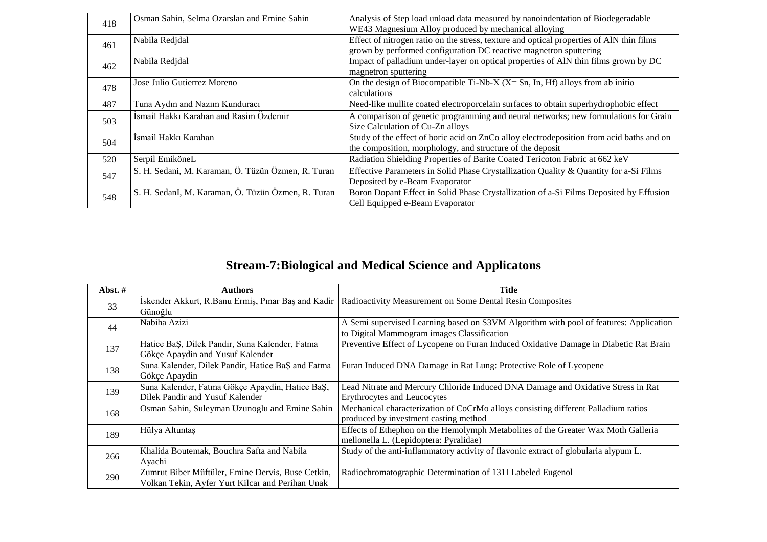| 418 | Osman Sahin, Selma Ozarslan and Emine Sahin        | Analysis of Step load unload data measured by nanoindentation of Biodegeradable          |
|-----|----------------------------------------------------|------------------------------------------------------------------------------------------|
|     |                                                    | WE43 Magnesium Alloy produced by mechanical alloying                                     |
| 461 | Nabila Redjdal                                     | Effect of nitrogen ratio on the stress, texture and optical properties of AlN thin films |
|     |                                                    | grown by performed configuration DC reactive magnetron sputtering                        |
| 462 | Nabila Redjdal                                     | Impact of palladium under-layer on optical properties of AIN thin films grown by DC      |
|     |                                                    | magnetron sputtering                                                                     |
| 478 | Jose Julio Gutierrez Moreno                        | On the design of Biocompatible Ti-Nb-X ( $X = Sn$ , In, Hf) alloys from ab initio        |
|     |                                                    | calculations                                                                             |
| 487 | Tuna Aydın and Nazım Kunduracı                     | Need-like mullite coated electroporcelain surfaces to obtain superhydrophobic effect     |
| 503 | İsmail Hakkı Karahan and Rasim Özdemir             | A comparison of genetic programming and neural networks; new formulations for Grain      |
|     |                                                    | Size Calculation of Cu-Zn alloys                                                         |
| 504 | İsmail Hakkı Karahan                               | Study of the effect of boric acid on ZnCo alloy electrodeposition from acid baths and on |
|     |                                                    | the composition, morphology, and structure of the deposit                                |
| 520 | Serpil EmiköneL                                    | Radiation Shielding Properties of Barite Coated Tericoton Fabric at 662 keV              |
| 547 | S. H. Sedani, M. Karaman, Ö. Tüzün Özmen, R. Turan | Effective Parameters in Solid Phase Crystallization Quality & Quantity for a-Si Films    |
|     |                                                    | Deposited by e-Beam Evaporator                                                           |
| 548 | S. H. SedanI, M. Karaman, Ö. Tüzün Özmen, R. Turan | Boron Dopant Effect in Solid Phase Crystallization of a-Si Films Deposited by Effusion   |
|     |                                                    | Cell Equipped e-Beam Evaporator                                                          |

#### **Stream-7:Biological and Medical Science and Applicatons**

| Abst. $#$ | <b>Authors</b>                                     | Title                                                                                 |
|-----------|----------------------------------------------------|---------------------------------------------------------------------------------------|
| 33        | İskender Akkurt, R.Banu Ermiş, Pınar Baş and Kadir | Radioactivity Measurement on Some Dental Resin Composites                             |
|           | Günoğlu                                            |                                                                                       |
| 44        | Nabiha Azizi                                       | A Semi supervised Learning based on S3VM Algorithm with pool of features: Application |
|           |                                                    | to Digital Mammogram images Classification                                            |
| 137       | Hatice BaS, Dilek Pandir, Suna Kalender, Fatma     | Preventive Effect of Lycopene on Furan Induced Oxidative Damage in Diabetic Rat Brain |
|           | Gökçe Apaydin and Yusuf Kalender                   |                                                                                       |
| 138       | Suna Kalender, Dilek Pandir, Hatice BaŞ and Fatma  | Furan Induced DNA Damage in Rat Lung: Protective Role of Lycopene                     |
|           | Gökçe Apaydin                                      |                                                                                       |
| 139       | Suna Kalender, Fatma Gökçe Apaydin, Hatice BaŞ,    | Lead Nitrate and Mercury Chloride Induced DNA Damage and Oxidative Stress in Rat      |
|           | Dilek Pandir and Yusuf Kalender                    | Erythrocytes and Leucocytes                                                           |
| 168       | Osman Sahin, Suleyman Uzunoglu and Emine Sahin     | Mechanical characterization of CoCrMo alloys consisting different Palladium ratios    |
|           |                                                    | produced by investment casting method                                                 |
| 189       | Hülya Altuntaş                                     | Effects of Ethephon on the Hemolymph Metabolites of the Greater Wax Moth Galleria     |
|           |                                                    | mellonella L. (Lepidoptera: Pyralidae)                                                |
| 266       | Khalida Boutemak, Bouchra Safta and Nabila         | Study of the anti-inflammatory activity of flavonic extract of globularia alypum L.   |
|           | Avachi                                             |                                                                                       |
| 290       | Zumrut Biber Müftüler, Emine Dervis, Buse Cetkin,  | Radiochromatographic Determination of 131I Labeled Eugenol                            |
|           | Volkan Tekin, Ayfer Yurt Kilcar and Perihan Unak   |                                                                                       |